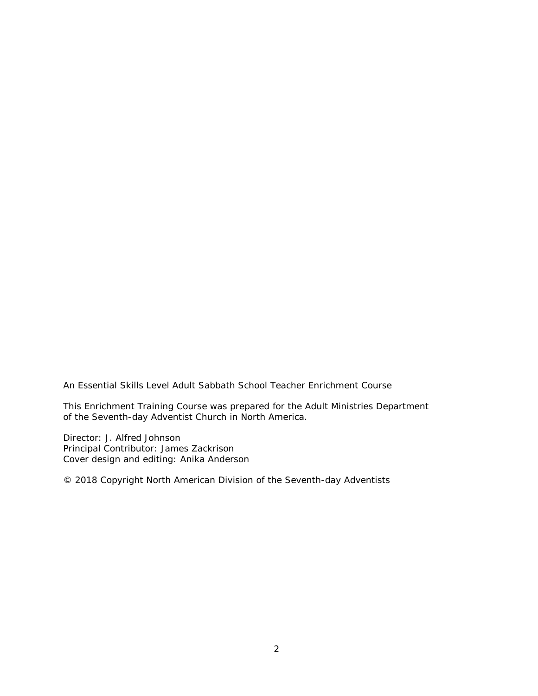An Essential Skills Level Adult Sabbath School Teacher Enrichment Course

This Enrichment Training Course was prepared for the Adult Ministries Department of the Seventh-day Adventist Church in North America

Director: J. Alfred Johnson Principal Contributor: James Zackrison Cover design and editing: Anika Anderson

© 2018 Copyright North American Division of the Seventh-day Adventists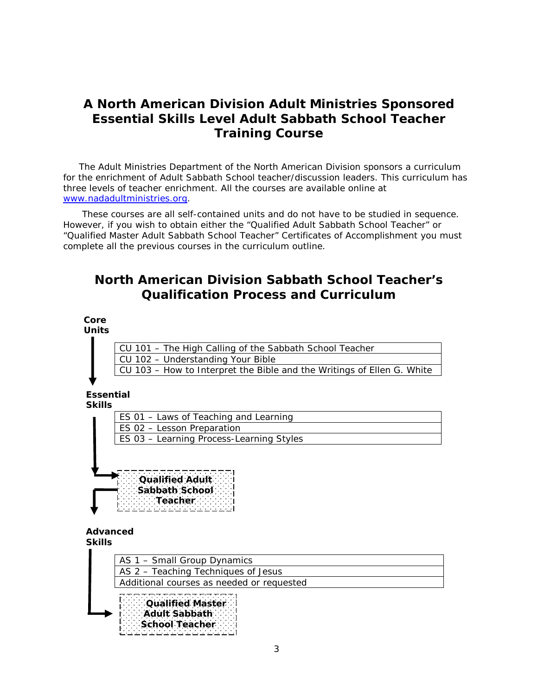# **A North American Division Adult Ministries Sponsored Essential Skills Level Adult Sabbath School Teacher Training Course**

The Adult Ministries Department of the North American Division sponsors a curriculum for the enrichment of Adult Sabbath School teacher/discussion leaders. This curriculum has three levels of teacher enrichment. All the courses are available online at [www.nadadultministries.org.](http://www.nadadultministries.org/)

These courses are all self-contained units and do not have to be studied in sequence. However, if you wish to obtain either the "Qualified Adult Sabbath School Teacher" or "Qualified Master Adult Sabbath School Teacher" *Certificates of Accomplishment* you must complete all the previous courses in the curriculum outline.

# **North American Division Sabbath School Teacher's Qualification Process and Curriculum**

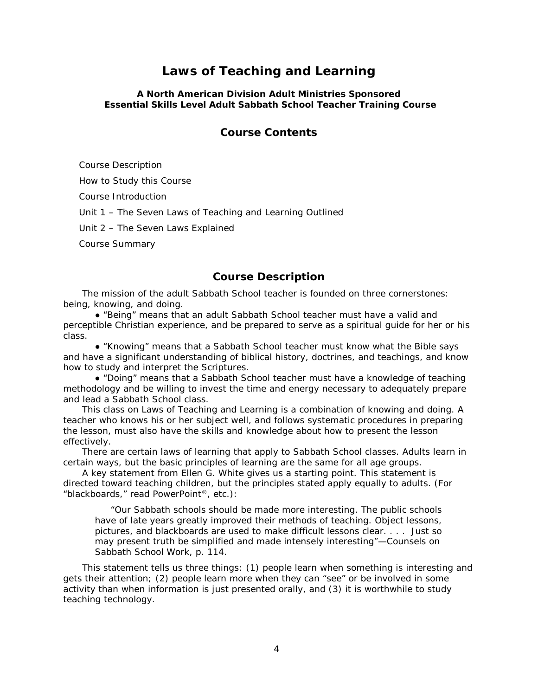## **Laws of Teaching and Learning**

## **A North American Division Adult Ministries Sponsored Essential Skills Level Adult Sabbath School Teacher Training Course**

## **Course Contents**

Course Description

How to Study this Course

Course Introduction

Unit 1 – The Seven Laws of Teaching and Learning Outlined

Unit 2 – The Seven Laws Explained

Course Summary

## **Course Description**

The mission of the adult Sabbath School teacher is founded on three cornerstones: being, knowing, and doing.

● "Being" means that an adult Sabbath School teacher must have a valid and perceptible Christian experience, and be prepared to serve as a spiritual guide for her or his class.

● "Knowing" means that a Sabbath School teacher must know what the Bible says and have a significant understanding of biblical history, doctrines, and teachings, and know how to study and interpret the Scriptures.

● "Doing" means that a Sabbath School teacher must have a knowledge of teaching methodology and be willing to invest the time and energy necessary to adequately prepare and lead a Sabbath School class.

This class on *Laws of Teaching and Learning* is a combination of knowing and doing. A teacher who knows his or her subject well, and follows systematic procedures in preparing the lesson, must also have the skills and knowledge about how to present the lesson effectively.

There are certain laws of learning that apply to Sabbath School classes. Adults learn in certain ways, but the basic principles of learning are the same for all age groups.

A key statement from Ellen G. White gives us a starting point. This statement is directed toward teaching children, but the principles stated apply equally to adults. (For "blackboards," read PowerPoint®, etc.):

"Our Sabbath schools should be made more interesting. The public schools have of late years greatly improved their methods of teaching. Object lessons, pictures, and blackboards are used to make difficult lessons clear. . . . Just so may present truth be simplified and made intensely interesting"—*Counsels on Sabbath School Work,* p. 114.

This statement tells us three things: (1) people learn when something is interesting and gets their attention; (2) people learn more when they can "see" or be involved in some activity than when information is just presented orally, and (3) it is worthwhile to study teaching technology.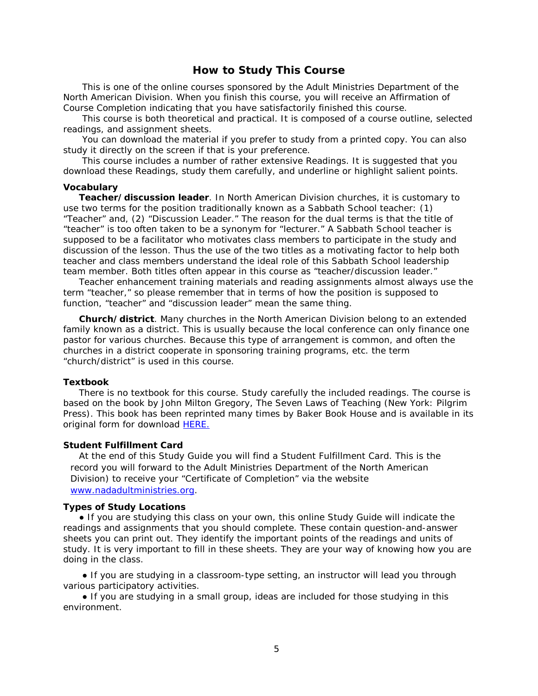## **How to Study This Course**

This is one of the online courses sponsored by the Adult Ministries Department of the North American Division. When you finish this course, you will receive an *Affirmation of Course Completion* indicating that you have satisfactorily finished this course.

This course is both theoretical and practical. It is composed of a course outline, selected readings, and assignment sheets.

You can download the material if you prefer to study from a printed copy. You can also study it directly on the screen if that is your preference.

This course includes a number of rather extensive Readings. It is suggested that you download these Readings, study them carefully, and underline or highlight salient points.

#### **Vocabulary**

**Teacher/discussion leader**. In North American Division churches, it is customary to use two terms for the position traditionally known as a Sabbath School teacher: (1) "Teacher" and, (2) "Discussion Leader." The reason for the dual terms is that the title of "teacher" is too often taken to be a synonym for "lecturer." A Sabbath School teacher is supposed to be a facilitator who motivates class members to participate in the study and discussion of the lesson. Thus the use of the two titles as a motivating factor to help both teacher and class members understand the ideal role of this Sabbath School leadership team member. Both titles often appear in this course as "teacher/discussion leader."

Teacher enhancement training materials and reading assignments almost always use the term "teacher," so please remember that in terms of how the position is supposed to function, "teacher" and "discussion leader" mean the same thing.

**Church/district**. Many churches in the North American Division belong to an extended family known as a district. This is usually because the local conference can only finance one pastor for various churches. Because this type of arrangement is common, and often the churches in a district cooperate in sponsoring training programs, etc. the term "church/district" is used in this course.

#### **Textbook**

There is no textbook for this course. Study carefully the included readings. The course is based on the book by John Milton Gregory, *The Seven Laws of Teaching* (New York: Pilgrim Press). This book has been reprinted many times by Baker Book House and is available in its original form for download **[HERE.](http://canonpress.com/content/AG-003.pdf)** 

#### **Student Fulfillment Card**

At the end of this Study Guide you will find a Student Fulfillment Card. This is the record you will forward to the Adult Ministries Department of the North American Division) to receive your "Certificate of Completion" via the website www.nadadultministries.org.

#### **Types of Study Locations**

● If you are studying this class on your own, this online Study Guide will indicate the readings and assignments that you should complete. These contain question-and-answer sheets you can print out. They identify the important points of the readings and units of study. It is very important to fill in these sheets. They are your way of knowing how you are doing in the class.

● If you are studying in a classroom-type setting, an instructor will lead you through various participatory activities.

● If you are studying in a small group, ideas are included for those studying in this environment.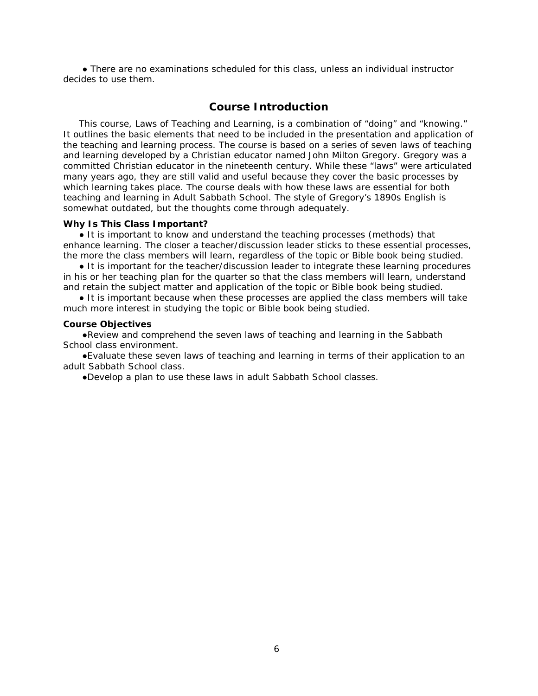● There are no examinations scheduled for this class, unless an individual instructor decides to use them.

## **Course Introduction**

This course, *Laws of Teaching and Learning,* is a combination of "doing" and "knowing." It outlines the basic elements that need to be included in the presentation and application of the teaching and learning process. The course is based on a series of seven laws of teaching and learning developed by a Christian educator named John Milton Gregory. Gregory was a committed Christian educator in the nineteenth century. While these "laws" were articulated many years ago, they are still valid and useful because they cover the basic processes by which learning takes place. The course deals with how these laws are essential for both teaching and learning in Adult Sabbath School. The style of Gregory's 1890s English is somewhat outdated, but the thoughts come through adequately.

#### **Why Is This Class Important?**

● It is important to know and understand the teaching processes (methods) that enhance learning. The closer a teacher/discussion leader sticks to these essential processes, the more the class members will learn, regardless of the topic or Bible book being studied.

● It is important for the teacher/discussion leader to integrate these learning procedures in his or her teaching plan for the quarter so that the class members will learn, understand and retain the subject matter and application of the topic or Bible book being studied.

● It is important because when these processes are applied the class members will take much more interest in studying the topic or Bible book being studied.

#### **Course Objectives**

●Review and comprehend the seven laws of teaching and learning in the Sabbath School class environment.

●Evaluate these seven laws of teaching and learning in terms of their application to an adult Sabbath School class.

●Develop a plan to use these laws in adult Sabbath School classes.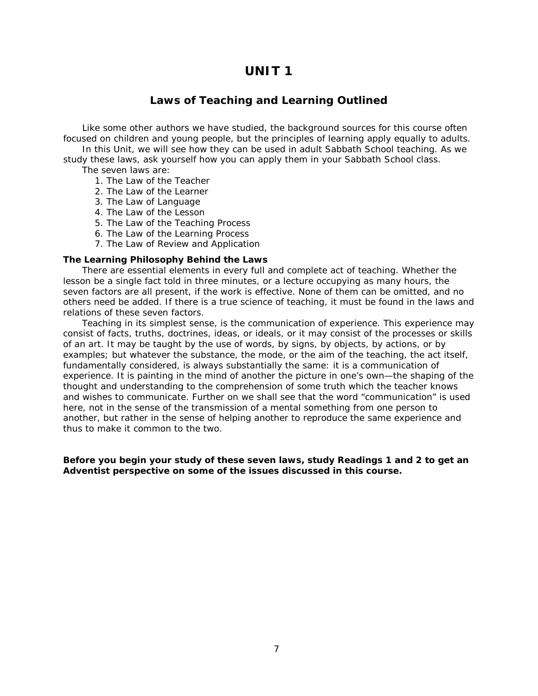## **UNIT 1**

## **Laws of Teaching and Learning Outlined**

Like some other authors we have studied, the background sources for this course often focused on children and young people, but the principles of learning apply equally to adults.

In this Unit, we will see how they can be used in adult Sabbath School teaching. As we study these laws, ask yourself how you can apply them in your Sabbath School class.

The seven laws are:

- 1. The Law of the Teacher
- 2. The Law of the Learner
- 3. The Law of Language
- 4. The Law of the Lesson
- 5. The Law of the Teaching Process
- 6. The Law of the Learning Process
- 7. The Law of Review and Application

#### **The Learning Philosophy Behind the Laws**

There are essential elements in every full and complete act of teaching. Whether the lesson be a single fact told in three minutes, or a lecture occupying as many hours, the seven factors are all present, if the work is effective. None of them can be omitted, and no others need be added. If there is a true science of teaching, it must be found in the laws and relations of these seven factors.

Teaching in its simplest sense, is the communication of experience. This experience may consist of facts, truths, doctrines, ideas, or ideals, or it may consist of the processes or skills of an art. It may be taught by the use of words, by signs, by objects, by actions, or by examples; but whatever the substance, the mode, or the aim of the teaching, the act itself, fundamentally considered, is always substantially the same: it is a communication of experience. It is painting in the mind of another the picture in one's own—the shaping of the thought and understanding to the comprehension of some truth which the teacher knows and wishes to communicate. Further on we shall see that the word "communication" is used here, not in the sense of the transmission of a mental something from one person to another, but rather in the sense of helping another to reproduce the same experience and thus to make it common to the two.

**Before you begin your study of these seven laws, study Readings 1 and 2 to get an Adventist perspective on some of the issues discussed in this course.**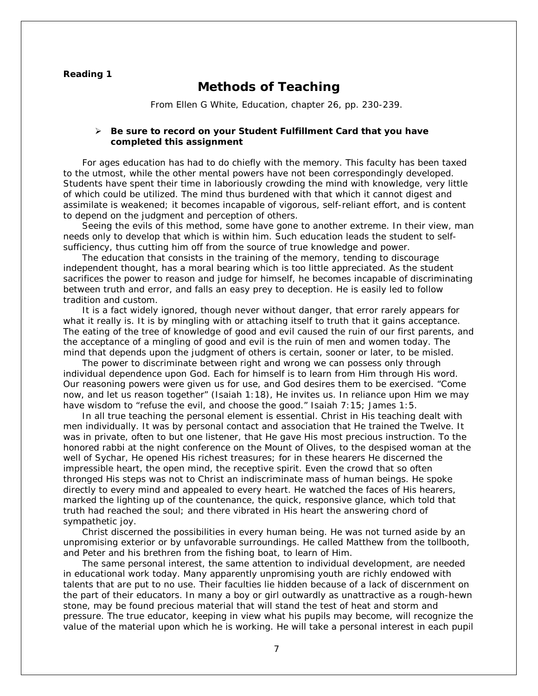#### **Reading 1**

## **Methods of Teaching**

From Ellen G White, *Education*, chapter 26, pp. 230-239.

#### *Be sure to record on your* **Student Fulfillment Card** *that you have completed this assignment*

For ages education has had to do chiefly with the memory. This faculty has been taxed to the utmost, while the other mental powers have not been correspondingly developed. Students have spent their time in laboriously crowding the mind with knowledge, very little of which could be utilized. The mind thus burdened with that which it cannot digest and assimilate is weakened; it becomes incapable of vigorous, self-reliant effort, and is content to depend on the judgment and perception of others.

Seeing the evils of this method, some have gone to another extreme. In their view, man needs only to develop that which is within him. Such education leads the student to selfsufficiency, thus cutting him off from the source of true knowledge and power.

The education that consists in the training of the memory, tending to discourage independent thought, has a moral bearing which is too little appreciated. As the student sacrifices the power to reason and judge for himself, he becomes incapable of discriminating between truth and error, and falls an easy prey to deception. He is easily led to follow tradition and custom.

It is a fact widely ignored, though never without danger, that error rarely appears for what it really is. It is by mingling with or attaching itself to truth that it gains acceptance. The eating of the tree of knowledge of good and evil caused the ruin of our first parents, and the acceptance of a mingling of good and evil is the ruin of men and women today. The mind that depends upon the judgment of others is certain, sooner or later, to be misled.

The power to discriminate between right and wrong we can possess only through individual dependence upon God. Each for himself is to learn from Him through His word. Our reasoning powers were given us for use, and God desires them to be exercised. "Come now, and let us reason together" (Isaiah 1:18), He invites us. In reliance upon Him we may have wisdom to "refuse the evil, and choose the good." Isaiah 7:15; James 1:5.

In all true teaching the personal element is essential. Christ in His teaching dealt with men individually. It was by personal contact and association that He trained the Twelve. It was in private, often to but one listener, that He gave His most precious instruction. To the honored rabbi at the night conference on the Mount of Olives, to the despised woman at the well of Sychar, He opened His richest treasures; for in these hearers He discerned the impressible heart, the open mind, the receptive spirit. Even the crowd that so often thronged His steps was not to Christ an indiscriminate mass of human beings. He spoke directly to every mind and appealed to every heart. He watched the faces of His hearers, marked the lighting up of the countenance, the quick, responsive glance, which told that truth had reached the soul; and there vibrated in His heart the answering chord of sympathetic joy.

Christ discerned the possibilities in every human being. He was not turned aside by an unpromising exterior or by unfavorable surroundings. He called Matthew from the tollbooth, and Peter and his brethren from the fishing boat, to learn of Him.

The same personal interest, the same attention to individual development, are needed in educational work today. Many apparently unpromising youth are richly endowed with talents that are put to no use. Their faculties lie hidden because of a lack of discernment on the part of their educators. In many a boy or girl outwardly as unattractive as a rough-hewn stone, may be found precious material that will stand the test of heat and storm and pressure. The true educator, keeping in view what his pupils may become, will recognize the value of the material upon which he is working. He will take a personal interest in each pupil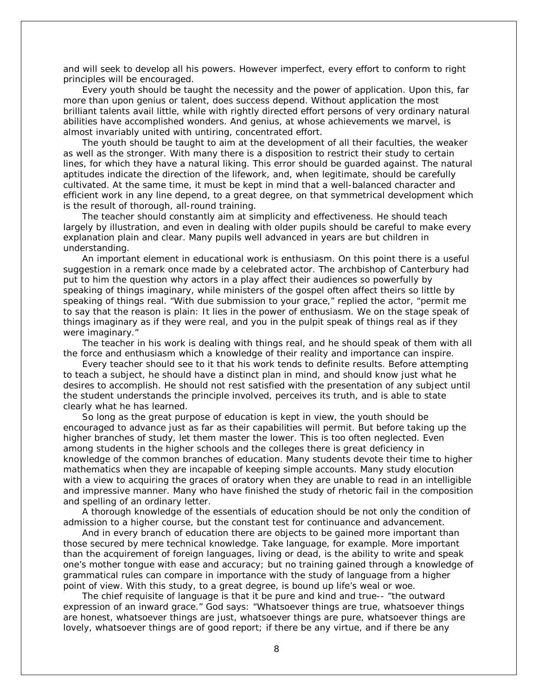and will seek to develop all his powers. However imperfect, every effort to conform to right principles will be encouraged.

Every youth should be taught the necessity and the power of application. Upon this, far more than upon genius or talent, does success depend. Without application the most brilliant talents avail little, while with rightly directed effort persons of very ordinary natural abilities have accomplished wonders. And genius, at whose achievements we marvel, is almost invariably united with untiring, concentrated effort.

The youth should be taught to aim at the development of all their faculties, the weaker as well as the stronger. With many there is a disposition to restrict their study to certain lines, for which they have a natural liking. This error should be guarded against. The natural aptitudes indicate the direction of the lifework, and, when legitimate, should be carefully cultivated. At the same time, it must be kept in mind that a well-balanced character and efficient work in any line depend, to a great degree, on that symmetrical development which is the result of thorough, all-round training.

The teacher should constantly aim at simplicity and effectiveness. He should teach largely by illustration, and even in dealing with older pupils should be careful to make every explanation plain and clear. Many pupils well advanced in years are but children in understanding.

An important element in educational work is enthusiasm. On this point there is a useful suggestion in a remark once made by a celebrated actor. The archbishop of Canterbury had put to him the question why actors in a play affect their audiences so powerfully by speaking of things imaginary, while ministers of the gospel often affect theirs so little by speaking of things real. "With due submission to your grace," replied the actor, "permit me to say that the reason is plain: It lies in the power of enthusiasm. We on the stage speak of things imaginary as if they were real, and you in the pulpit speak of things real as if they were imaginary."

The teacher in his work is dealing with things real, and he should speak of them with all the force and enthusiasm which a knowledge of their reality and importance can inspire.

Every teacher should see to it that his work tends to definite results. Before attempting to teach a subject, he should have a distinct plan in mind, and should know just what he desires to accomplish. He should not rest satisfied with the presentation of any subject until the student understands the principle involved, perceives its truth, and is able to state clearly what he has learned.

So long as the great purpose of education is kept in view, the youth should be encouraged to advance just as far as their capabilities will permit. But before taking up the higher branches of study, let them master the lower. This is too often neglected. Even among students in the higher schools and the colleges there is great deficiency in knowledge of the common branches of education. Many students devote their time to higher mathematics when they are incapable of keeping simple accounts. Many study elocution with a view to acquiring the graces of oratory when they are unable to read in an intelligible and impressive manner. Many who have finished the study of rhetoric fail in the composition and spelling of an ordinary letter.

A thorough knowledge of the essentials of education should be not only the condition of admission to a higher course, but the constant test for continuance and advancement.

And in every branch of education there are objects to be gained more important than those secured by mere technical knowledge. Take language, for example. More important than the acquirement of foreign languages, living or dead, is the ability to write and speak one's mother tongue with ease and accuracy; but no training gained through a knowledge of grammatical rules can compare in importance with the study of language from a higher point of view. With this study, to a great degree, is bound up life's weal or woe.

The chief requisite of language is that it be pure and kind and true-- "the outward expression of an inward grace." God says: "Whatsoever things are true, whatsoever things are honest, whatsoever things are just, whatsoever things are pure, whatsoever things are lovely, whatsoever things are of good report; if there be any virtue, and if there be any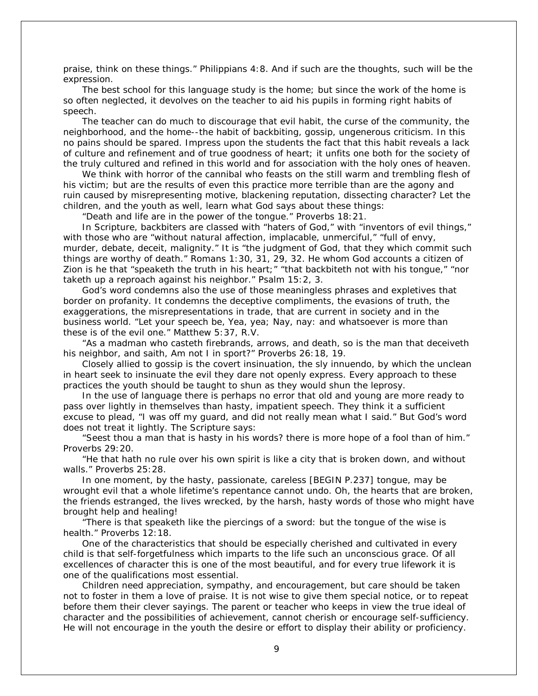praise, think on these things." Philippians 4:8. And if such are the thoughts, such will be the expression.

The best school for this language study is the home; but since the work of the home is so often neglected, it devolves on the teacher to aid his pupils in forming right habits of speech.

The teacher can do much to discourage that evil habit, the curse of the community, the neighborhood, and the home--the habit of backbiting, gossip, ungenerous criticism. In this no pains should be spared. Impress upon the students the fact that this habit reveals a lack of culture and refinement and of true goodness of heart; it unfits one both for the society of the truly cultured and refined in this world and for association with the holy ones of heaven.

We think with horror of the cannibal who feasts on the still warm and trembling flesh of his victim; but are the results of even this practice more terrible than are the agony and ruin caused by misrepresenting motive, blackening reputation, dissecting character? Let the children, and the youth as well, learn what God says about these things:

"Death and life are in the power of the tongue." Proverbs 18:21.

In Scripture, backbiters are classed with "haters of God," with "inventors of evil things," with those who are "without natural affection, implacable, unmerciful," "full of envy, murder, debate, deceit, malignity." It is "the judgment of God, that they which commit such things are worthy of death." Romans 1:30, 31, 29, 32. He whom God accounts a citizen of Zion is he that "speaketh the truth in his heart;" "that backbiteth not with his tongue," "nor taketh up a reproach against his neighbor." Psalm 15:2, 3.

God's word condemns also the use of those meaningless phrases and expletives that border on profanity. It condemns the deceptive compliments, the evasions of truth, the exaggerations, the misrepresentations in trade, that are current in society and in the business world. "Let your speech be, Yea, yea; Nay, nay: and whatsoever is more than these is of the evil one." Matthew 5:37, R.V.

"As a madman who casteth firebrands, arrows, and death, so is the man that deceiveth his neighbor, and saith, Am not I in sport?" Proverbs 26:18, 19.

Closely allied to gossip is the covert insinuation, the sly innuendo, by which the unclean in heart seek to insinuate the evil they dare not openly express. Every approach to these practices the youth should be taught to shun as they would shun the leprosy.

In the use of language there is perhaps no error that old and young are more ready to pass over lightly in themselves than hasty, impatient speech. They think it a sufficient excuse to plead, "I was off my guard, and did not really mean what I said." But God's word does not treat it lightly. The Scripture says:

"Seest thou a man that is hasty in his words? there is more hope of a fool than of him." Proverbs 29:20.

"He that hath no rule over his own spirit is like a city that is broken down, and without walls." Proverbs 25:28.

In one moment, by the hasty, passionate, careless [BEGIN P.237] tongue, may be wrought evil that a whole lifetime's repentance cannot undo. Oh, the hearts that are broken, the friends estranged, the lives wrecked, by the harsh, hasty words of those who might have brought help and healing!

"There is that speaketh like the piercings of a sword: but the tongue of the wise is health." Proverbs 12:18.

One of the characteristics that should be especially cherished and cultivated in every child is that self-forgetfulness which imparts to the life such an unconscious grace. Of all excellences of character this is one of the most beautiful, and for every true lifework it is one of the qualifications most essential.

Children need appreciation, sympathy, and encouragement, but care should be taken not to foster in them a love of praise. It is not wise to give them special notice, or to repeat before them their clever sayings. The parent or teacher who keeps in view the true ideal of character and the possibilities of achievement, cannot cherish or encourage self-sufficiency. He will not encourage in the youth the desire or effort to display their ability or proficiency.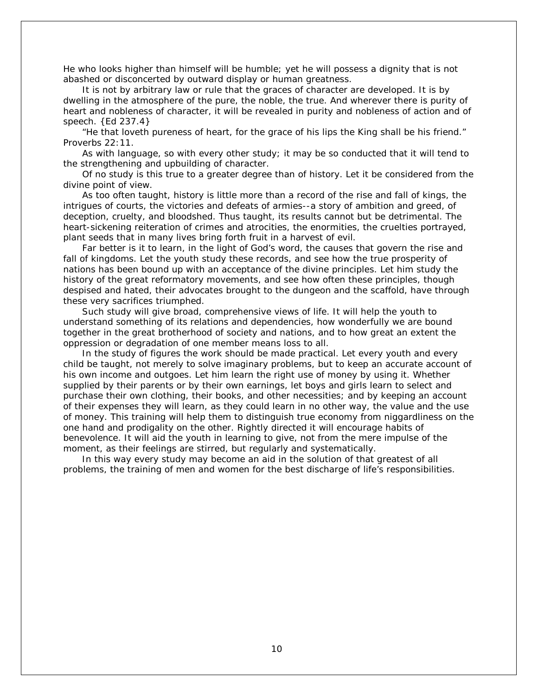He who looks higher than himself will be humble; yet he will possess a dignity that is not abashed or disconcerted by outward display or human greatness.

It is not by arbitrary law or rule that the graces of character are developed. It is by dwelling in the atmosphere of the pure, the noble, the true. And wherever there is purity of heart and nobleness of character, it will be revealed in purity and nobleness of action and of speech. {Ed 237.4}

"He that loveth pureness of heart, for the grace of his lips the King shall be his friend." Proverbs 22:11.

As with language, so with every other study; it may be so conducted that it will tend to the strengthening and upbuilding of character.

Of no study is this true to a greater degree than of history. Let it be considered from the divine point of view.

As too often taught, history is little more than a record of the rise and fall of kings, the intrigues of courts, the victories and defeats of armies--a story of ambition and greed, of deception, cruelty, and bloodshed. Thus taught, its results cannot but be detrimental. The heart-sickening reiteration of crimes and atrocities, the enormities, the cruelties portrayed, plant seeds that in many lives bring forth fruit in a harvest of evil.

Far better is it to learn, in the light of God's word, the causes that govern the rise and fall of kingdoms. Let the youth study these records, and see how the true prosperity of nations has been bound up with an acceptance of the divine principles. Let him study the history of the great reformatory movements, and see how often these principles, though despised and hated, their advocates brought to the dungeon and the scaffold, have through these very sacrifices triumphed.

Such study will give broad, comprehensive views of life. It will help the youth to understand something of its relations and dependencies, how wonderfully we are bound together in the great brotherhood of society and nations, and to how great an extent the oppression or degradation of one member means loss to all.

In the study of figures the work should be made practical. Let every youth and every child be taught, not merely to solve imaginary problems, but to keep an accurate account of his own income and outgoes. Let him learn the right use of money by using it. Whether supplied by their parents or by their own earnings, let boys and girls learn to select and purchase their own clothing, their books, and other necessities; and by keeping an account of their expenses they will learn, as they could learn in no other way, the value and the use of money. This training will help them to distinguish true economy from niggardliness on the one hand and prodigality on the other. Rightly directed it will encourage habits of benevolence. It will aid the youth in learning to give, not from the mere impulse of the moment, as their feelings are stirred, but regularly and systematically.

In this way every study may become an aid in the solution of that greatest of all problems, the training of men and women for the best discharge of life's responsibilities.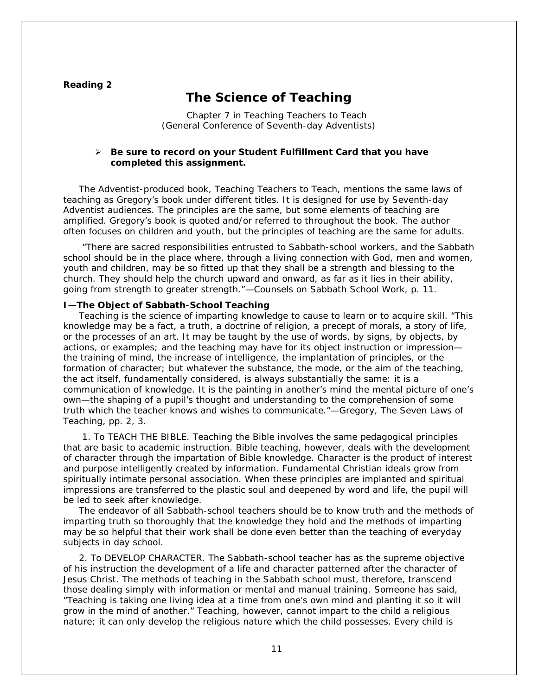#### **Reading 2**

## **The Science of Teaching**

Chapter 7 in *Teaching Teachers to Teach* (General Conference of Seventh-day Adventists)

### *Be sure to record on your* **Student Fulfillment Card** *that you have completed this assignment.*

*The Adventist-produced book,* Teaching Teachers to Teach*, mentions the same laws of teaching as Gregory's book under different titles. It is designed for use by Seventh-day Adventist audiences. The principles are the same, but some elements of teaching are amplified. Gregory's book is quoted and/or referred to throughout the book. The author often focuses on children and youth, but the principles of teaching are the same for adults.* 

"There are sacred responsibilities entrusted to Sabbath-school workers, and the Sabbath school should be in the place where, through a living connection with God, men and women, youth and children, may be so fitted up that they shall be a strength and blessing to the church. They should help the church upward and onward, as far as it lies in their ability, going from strength to greater strength."—*Counsels on Sabbath School Work*, p. 11.

#### **I—The Object of Sabbath-School Teaching**

Teaching is the science of imparting knowledge to cause to learn or to acquire skill. "This knowledge may be a fact, a truth, a doctrine of religion, a precept of morals, a story of life, or the processes of an art. It may be taught by the use of words, by signs, by objects, by actions, or examples; and the teaching may have for its object instruction or impression the training of mind, the increase of intelligence, the implantation of principles, or the formation of character; but whatever the substance, the mode, or the aim of the teaching, the act itself, fundamentally considered, is always substantially the same: it is a communication of knowledge. It is the painting in another's mind the mental picture of one's own—the shaping of a pupil's thought and understanding to the comprehension of some truth which the teacher knows and wishes to communicate."—Gregory, *The Seven Laws of Teaching*, pp. 2, 3.

1. To TEACH THE BIBLE. Teaching the Bible involves the same pedagogical principles that are basic to academic instruction. Bible teaching, however, deals with the development of character through the impartation of Bible knowledge. Character is the product of interest and purpose intelligently created by information. Fundamental Christian ideals grow from spiritually intimate personal association. When these principles are implanted and spiritual impressions are transferred to the plastic soul and deepened by word and life, the pupil will be led to seek after knowledge.

The endeavor of all Sabbath-school teachers should be to know truth and the methods of imparting truth so thoroughly that the knowledge they hold and the methods of imparting may be so helpful that their work shall be done even better than the teaching of everyday subjects in day school.

2. To DEVELOP CHARACTER. The Sabbath-school teacher has as the supreme objective of his instruction the development of a life and character patterned after the character of Jesus Christ. The methods of teaching in the Sabbath school must, therefore, transcend those dealing simply with information or mental and manual training. Someone has said, "Teaching is taking one living idea at a time from one's own mind and planting it so it will grow in the mind of another." Teaching, however, cannot impart to the child a religious nature; it can only develop the religious nature which the child possesses. Every child is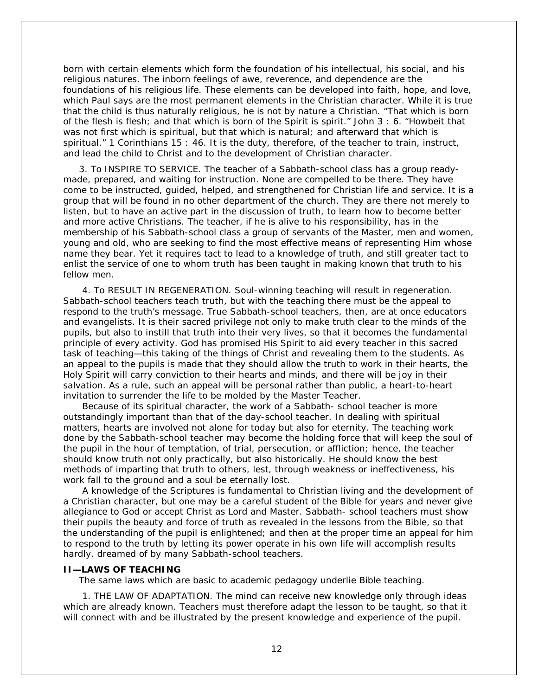born with certain elements which form the foundation of his intellectual, his social, and his religious natures. The inborn feelings of awe, reverence, and dependence are the foundations of his religious life. These elements can be developed into faith, hope, and love, which Paul says are the most permanent elements in the Christian character. While it is true that the child is thus naturally religious, *he is not by nature a Christian*. "That which is born of the flesh is flesh; and that which is born of the Spirit is spirit." John 3 : 6. "Howbeit that was not first which is spiritual, but that which is natural; and afterward that which is spiritual." 1 Corinthians 15 : 46. It is the duty, therefore, of the teacher to train, instruct, and lead the child to Christ and to the development of Christian character.

3. To INSPIRE TO SERVICE. The teacher of a Sabbath-school class has a group readymade, prepared, and waiting for instruction. None are compelled to be there. They have come to be instructed, guided, helped, and strengthened for Christian life and service. It is a group that will be found in no other department of the church. They are there not merely to listen, but to have an active part in the discussion of truth, to learn how to become better and more active Christians. The teacher, if he is alive to his responsibility, has in the membership of his Sabbath-school class a group of servants of the Master, men and women, young and old, who are seeking to find the most effective means of representing Him whose name they bear. Yet it requires tact to lead to a knowledge of truth, and still greater tact to enlist the service of one to whom truth has been taught in making known that truth to his fellow men.

4. To RESULT IN REGENERATION. Soul-winning teaching will result in regeneration. Sabbath-school teachers teach truth, but with the teaching there must be the appeal to respond to the truth's message. True Sabbath-school teachers, then, are at once educators and evangelists. It is their sacred privilege not only to make truth clear to the minds of the pupils, but also to instill that truth into their very lives, so that it becomes the fundamental principle of every activity. God has promised His Spirit to aid every teacher in this sacred task of teaching—this taking of the things of Christ and revealing them to the students. As an appeal to the pupils is made that they should allow the truth to work in their hearts, the Holy Spirit will carry conviction to their hearts and minds, and there will be joy in their salvation. As a rule, such an appeal will be personal rather than public, a heart-to-heart invitation to surrender the life to be molded by the Master Teacher.

Because of its spiritual character, the work of a Sabbath- school teacher is more outstandingly important than that of the day-school teacher. In dealing with spiritual matters, hearts are involved not alone for today but also for eternity. The teaching work done by the Sabbath-school teacher may become the holding force that will keep the soul of the pupil in the hour of temptation, of trial, persecution, or affliction; hence, the teacher should know truth not only practically, but also historically. He should know the best methods of imparting that truth to others, lest, through weakness or ineffectiveness, his work fall to the ground and a soul be eternally lost.

A knowledge of the Scriptures is fundamental to Christian living and the development of a Christian character, but one may be a careful student of the Bible for years and never give allegiance to God or accept Christ as Lord and Master. Sabbath- school teachers must show their pupils the beauty and force of truth as revealed in the lessons from the Bible, so that the understanding of the pupil is enlightened; and then at the proper time an appeal for him to respond to the truth by letting its power operate in his own life will accomplish results hardly. dreamed of by many Sabbath-school teachers.

#### **II—LAWS OF TEACHING**

The same laws which are basic to academic pedagogy underlie Bible teaching.

1. THE LAW OF ADAPTATION. The mind can receive new knowledge only through ideas which are already known. Teachers must therefore adapt the lesson to be taught, so that it will connect with and be illustrated by the present knowledge and experience of the pupil.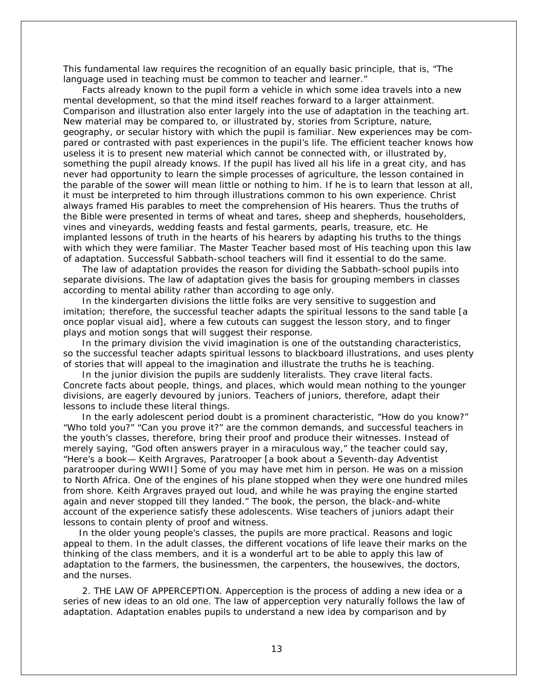This fundamental law requires the recognition of an equally basic principle, that is, "The language used in teaching must be common to teacher and learner."

Facts already known to the pupil form a vehicle in which some idea travels into a new mental development, so that the mind itself reaches forward to a larger attainment. Comparison and illustration also enter largely into the use of adaptation in the teaching art. New material may be compared to, or illustrated by, stories from Scripture, nature, geography, or secular history with which the pupil is familiar. New experiences may be compared or contrasted with past experiences in the pupil's life. The efficient teacher knows how useless it is to present new material which cannot be connected with, or illustrated by, something the pupil already knows. If the pupil has lived all his life in a great city, and has never had opportunity to learn the simple processes of agriculture, the lesson contained in the parable of the sower will mean little or nothing to him. If he is to learn that lesson at all, it must be interpreted to him through illustrations common to his own experience. Christ always framed His parables to meet the comprehension of His hearers. Thus the truths of the Bible were presented in terms of wheat and tares, sheep and shepherds, householders, vines and vineyards, wedding feasts and festal garments, pearls, treasure, etc. He implanted lessons of truth in the hearts of his hearers by adapting his truths to the things with which they were familiar. The Master Teacher based most of His teaching upon this law of adaptation. Successful Sabbath-school teachers will find it essential to do the same.

The law of adaptation provides the reason for dividing the Sabbath-school pupils into separate divisions. The law of adaptation gives the basis for grouping members in classes according to *mental ability* rather than according to age only.

In the kindergarten divisions the little folks are very sensitive to *suggestion* and imitation; therefore, the successful teacher *adapts* the spiritual lessons to the sand table [a once poplar visual aid], where a few cutouts can suggest the lesson story, and to finger plays and motion songs that will suggest their response.

In the primary division the vivid *imagination* is one of the outstanding characteristics, so the successful teacher adapts spiritual lessons to blackboard illustrations, and uses plenty of stories that will appeal to the imagination and illustrate the truths he is teaching.

In the junior division the pupils are suddenly *literalists*. They crave literal facts. Concrete facts about people, things, and places, which would mean nothing to the younger divisions, are eagerly devoured by juniors. Teachers of juniors, therefore, adapt their lessons to include these literal things.

In the early adolescent period *doubt* is a prominent characteristic, "How do you know?" "Who told you?" "Can you prove it?" are the common demands, and successful teachers in the youth's classes, therefore, bring their proof and produce their witnesses. Instead of merely saying, "God often answers prayer in a miraculous way," the teacher could say, "Here's a book— *Keith Argraves, Paratrooper* [a book about a Seventh-day Adventist paratrooper during WWII] Some of you may have met him in person. He was on a mission to North Africa. One of the engines of his plane stopped when they were one hundred miles from shore. Keith Argraves prayed out loud, and while he was praying the engine started again and never stopped till they landed." The book, the person, the black-and-white account of the experience satisfy these adolescents. Wise teachers of juniors adapt their lessons to contain plenty of proof and witness.

In the older young people's classes, the pupils are more practical. Reasons and logic appeal to them. In the adult classes, the different vocations of life leave their marks on the thinking of the class members, and it is a wonderful art to be able to apply this law of adaptation to the farmers, the businessmen, the carpenters, the housewives, the doctors, and the nurses.

2. THE LAW OF APPERCEPTION. Apperception is the process of adding a new idea or a series of new ideas to an old one. The law of apperception very naturally follows the law of adaptation. Adaptation enables pupils to *understand* a new idea by comparison and by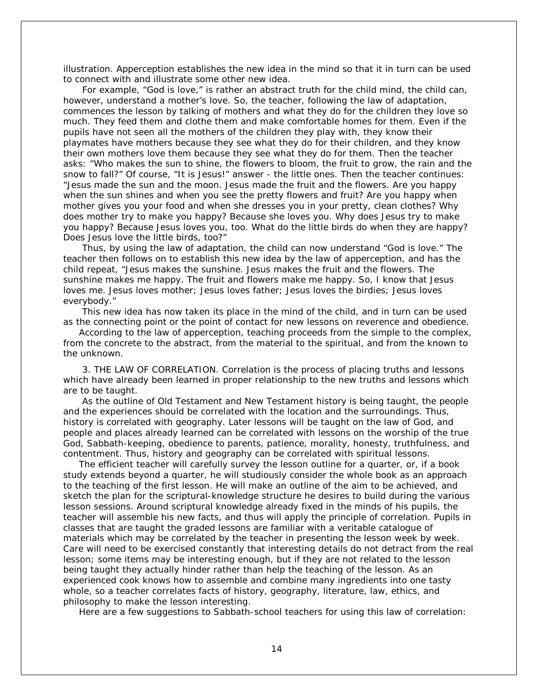illustration. Apperception *establishes* the new idea in the mind so that it in turn can be used to connect with and illustrate some other new idea.

For example, "God is love," is rather an abstract truth for the child mind, the child can, however, understand a mother's love. So, the teacher, following the law of adaptation, commences the lesson by talking of mothers and what they do for the children they love so much. They feed them and clothe them and make comfortable homes for them. Even if the pupils have not seen all the mothers of the children they play with, they know their playmates have mothers because they see what they do for their children, and they know their own mothers love them because they see what they do for them. Then the teacher asks: "Who makes the sun to shine, the flowers to bloom, the fruit to grow, the rain and the snow to fall?" Of course, "It is Jesus!" answer - the little ones. Then the teacher continues: "Jesus made the sun and the moon. Jesus made the fruit and the flowers. Are you happy when the sun shines and when you see the pretty flowers and fruit? Are you happy when mother gives you your food and when she dresses you in your pretty, clean clothes? Why does mother try to make you happy? Because she loves you. Why does Jesus try to make you happy? Because Jesus loves you, too. What do the little birds do when they are happy? Does Jesus love the little birds, too?"

Thus, by using the law of *adaptation*, the child can now *understand* "God is love." The teacher then follows on to *establish this new idea by the law of apperception*, and has the child repeat, "Jesus makes the sunshine. Jesus makes the fruit and the flowers. The sunshine makes me happy. The fruit and flowers make me happy. So, I know that Jesus loves me. Jesus loves mother; Jesus loves father; Jesus loves the birdies; Jesus loves everybody."

This new idea has now taken its place in the mind of the child, and in turn can be used as the connecting point or the point of contact for new lessons on reverence and obedience.

According to the law of apperception, teaching proceeds from the simple to the complex, from the concrete to the abstract, from the material to the spiritual, and from the known to the unknown.

3. THE LAW OF CORRELATION. Correlation is the process of placing truths and lessons which have already been learned in *proper relationship* to the new truths and lessons which are to be taught.

As the outline of Old Testament and New Testament history is being taught, the people and the experiences should be correlated with the location and the surroundings. Thus, history is correlated with geography. Later lessons will be taught on the law of God, and people and places already learned can be correlated with lessons on the worship of the true God, Sabbath-keeping, obedience to parents, patience, morality, honesty, truthfulness, and contentment. Thus, history and geography can be correlated with spiritual lessons.

The efficient teacher will carefully survey the lesson outline for a quarter, or, if a book study extends beyond a quarter, he will studiously consider the whole book as an approach to the teaching of the first lesson. He will make an outline of the aim to be achieved, and sketch the plan for the scriptural-knowledge structure he desires to build during the various lesson sessions. Around scriptural knowledge already fixed in the minds of his pupils, the teacher will assemble his new facts, and thus will apply the principle of correlation. Pupils in classes that are taught the graded lessons are familiar with a veritable catalogue of materials which may be correlated by the teacher in presenting the lesson week by week. Care will need to be exercised constantly that interesting details do not detract from the real lesson; some items may be interesting enough, but if they are not related to the lesson being taught they actually hinder rather than help the teaching of the lesson. As an experienced cook knows how to assemble and combine many ingredients into one tasty whole, so a teacher correlates facts of history, geography, literature, law, ethics, and philosophy to make the lesson interesting.

Here are a few suggestions to Sabbath-school teachers for using this law of correlation: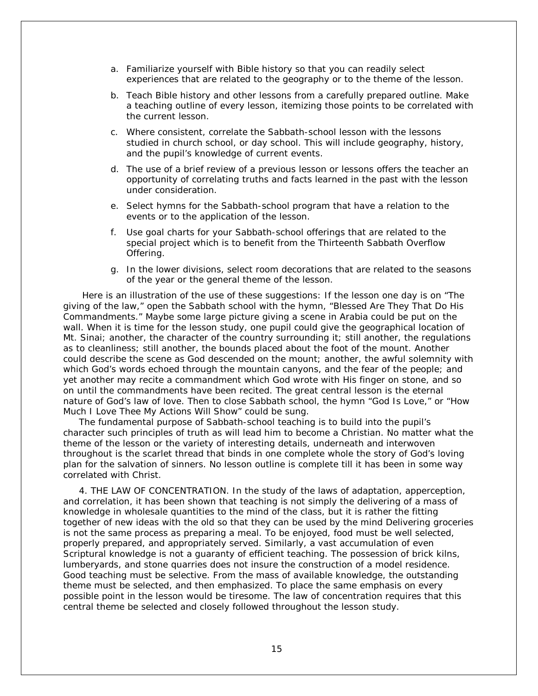- a. Familiarize yourself with Bible history so that you can readily select experiences that are related to the geography or to the theme of the lesson.
- b. Teach Bible history and other lessons from a carefully prepared outline. Make a teaching outline of every lesson, itemizing those points to be correlated with the current lesson.
- c. Where consistent, correlate the Sabbath-school lesson with the lessons studied in church school, or day school. This will include geography, history, and the pupil's knowledge of current events.
- d. The use of a brief review of a previous lesson or lessons offers the teacher an opportunity of correlating truths and facts learned in the past with the lesson under consideration.
- e. Select hymns for the Sabbath-school program that have a relation to the events or to the application of the lesson.
- f. Use goal charts for your Sabbath-school offerings that are related to the special project which is to benefit from the Thirteenth Sabbath Overflow Offering.
- g. In the lower divisions, select room decorations that are related to the seasons of the year or the general theme of the lesson.

Here is an illustration of the use of these suggestions: If the lesson one day is on "The giving of the law," open the Sabbath school with the hymn, "Blessed Are They That Do His Commandments." Maybe some large picture giving a scene in Arabia could be put on the wall. When it is time for the lesson study, one pupil could give the geographical location of Mt. Sinai; another, the character of the country surrounding it; still another, the regulations as to cleanliness; still another, the bounds placed about the foot of the mount. Another could describe the scene as God descended on the mount; another, the awful solemnity with which God's words echoed through the mountain canyons, and the fear of the people; and yet another may recite a commandment which God wrote with His finger on stone, and so on until the commandments have been recited. The great central lesson is the eternal nature of God's law of love. Then to close Sabbath school, the hymn "God Is Love," or "How Much I Love Thee My Actions Will Show" could be sung.

The fundamental purpose of Sabbath-school teaching is to build into the pupil's character such principles of truth as will lead him to become a Christian. No matter what the theme of the lesson or the variety of interesting details, underneath and interwoven throughout is the scarlet thread that binds in one complete whole the story of God's loving plan for the salvation of sinners. No lesson outline is complete till it has been in some way correlated with Christ.

4. THE LAW OF CONCENTRATION. In the study of the laws of adaptation, apperception, and correlation, it has been shown that teaching is not simply the delivering of a mass of knowledge in wholesale quantities to the mind of the class, but it is rather the fitting together of new ideas with the old so that they can be used by the mind Delivering groceries is not the same process as preparing a meal. To be enjoyed, food must be well selected, properly prepared, and appropriately served. Similarly, a vast accumulation of even Scriptural knowledge is not a guaranty of efficient teaching. The possession of brick kilns, lumberyards, and stone quarries does not insure the construction of a model residence. Good teaching must be selective. From the mass of available knowledge, the outstanding theme must be selected, and then emphasized. To place the same emphasis on every possible point in the lesson would be tiresome. The law of concentration requires that this central theme be selected and closely followed throughout the lesson study.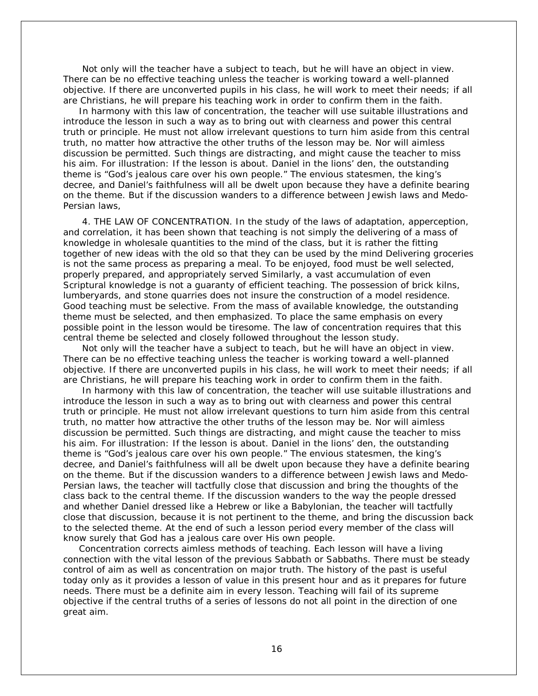Not only will the teacher have a subject to teach, but he will have an object in view. There can be no effective teaching unless the teacher is working toward a well-planned objective. If there are unconverted pupils in his class, he will work to meet their needs; if all are Christians, he will prepare his teaching work in order to confirm them in the faith.

In harmony with this law of concentration, the teacher will use suitable illustrations and introduce the lesson in such a way as to bring out with clearness and power this central truth or principle. He must not allow irrelevant questions to turn him aside from this central truth, no matter how attractive the other truths of the lesson may be. Nor will aimless discussion be permitted. Such things are distracting, and might cause the teacher to miss his aim. For illustration: If the lesson is about. Daniel in the lions' den, the outstanding theme is "God's jealous care over his own people." The envious statesmen, the king's decree, and Daniel's faithfulness will all be dwelt upon because they have a definite bearing on the theme. But if the discussion wanders to a difference between Jewish laws and Medo-Persian laws,

4. THE LAW OF CONCENTRATION. In the study of the laws of adaptation, apperception, and correlation, it has been shown that teaching is not simply the delivering of a mass of knowledge in wholesale quantities to the mind of the class, but it is rather the fitting together of new ideas with the old so that they can be used by the mind Delivering groceries is not the same process as preparing a meal. To be enjoyed, food must be well selected, properly prepared, and appropriately served Similarly, a vast accumulation of even Scriptural knowledge is not a guaranty of efficient teaching. The possession of brick kilns, lumberyards, and stone quarries does not insure the construction of a model residence. Good teaching must be selective. From the mass of available knowledge, the outstanding theme must be selected, and then emphasized. To place the same emphasis on every possible point in the lesson would be tiresome. The law of concentration requires that this central theme be selected and closely followed throughout the lesson study.

Not only will the teacher have a subject to teach, but he will have an object in view. There can be no effective teaching unless the teacher is working toward a well-planned objective. If there are unconverted pupils in his class, he will work to meet their needs; if all are Christians, he will prepare his teaching work in order to confirm them in the faith.

In harmony with this law of concentration, the teacher will use suitable illustrations and introduce the lesson in such a way as to bring out with clearness and power this central truth or principle. He must not allow irrelevant questions to turn him aside from this central truth, no matter how attractive the other truths of the lesson may be. Nor will aimless discussion be permitted. Such things are distracting, and might cause the teacher to miss his aim. For illustration: If the lesson is about. Daniel in the lions' den, the outstanding theme is "God's jealous care over his own people." The envious statesmen, the king's decree, and Daniel's faithfulness will all be dwelt upon because they have a definite bearing on the theme. But if the discussion wanders to a difference between Jewish laws and Medo-Persian laws, the teacher will tactfully close that discussion and bring the thoughts of the class back to the central theme. If the discussion wanders to the way the people dressed and whether Daniel dressed like a Hebrew or like a Babylonian, the teacher will tactfully close that discussion, because it is not pertinent to the theme, and bring the discussion back to the selected theme. At the end of such a lesson period every member of the class will know surely that *God has a jealous care over His own people*.

Concentration corrects aimless methods of teaching. Each lesson will have a living connection with the vital lesson of the previous Sabbath or Sabbaths. There must be steady control of aim as well as concentration on major truth. The history of the past is useful today only as it provides a lesson of value in this present hour and as it prepares for future needs. There must be a definite aim in every lesson. Teaching will fail of its supreme objective if the central truths of a series of lessons do not all point in the direction of one great aim.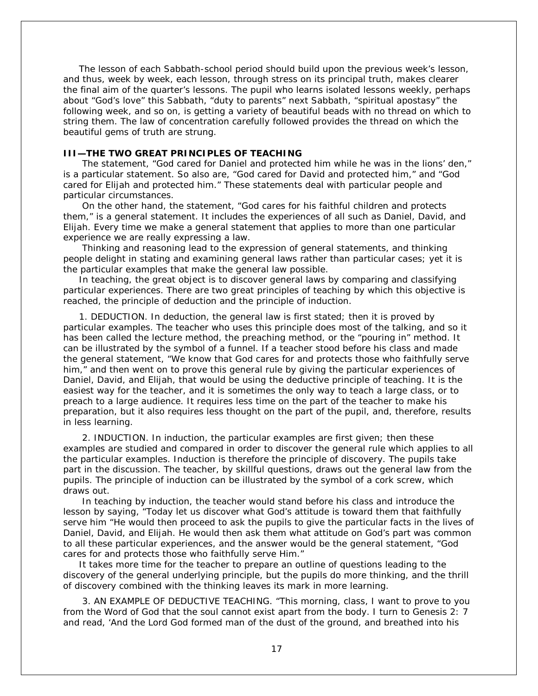The lesson of each Sabbath-school period should build upon the previous week's lesson, and thus, week by week, each lesson, through stress on its principal truth, makes clearer the final aim of the quarter's lessons. The pupil who learns isolated lessons weekly, perhaps about "God's love" this Sabbath, "duty to parents" next Sabbath, "spiritual apostasy" the following week, and so on, is getting a variety of beautiful beads with no *thread* on which to string them. The law of concentration carefully followed provides the *thread* on which the beautiful gems of truth are strung.

#### **III—THE TWO GREAT PRINCIPLES OF TEACHING**

The statement, "God cared for Daniel and protected him while he was in the lions' den," is a *particular* statement. So also are, "God cared for David and protected him," and "God cared for Elijah and protected him." These statements deal with particular people and particular circumstances.

On the other hand, the statement, "God cares for his faithful children and protects them," is a general statement. It includes the experiences of all such as Daniel, David, and Elijah. Every time we make a *general* statement that applies to more than one particular experience we are really expressing a *law*.

Thinking and reasoning lead to the expression of general statements, and thinking people delight in stating and examining general laws rather than particular cases; yet it is the particular examples that make the general law possible.

In teaching, the great object is to discover *general* laws by comparing and classifying particular experiences. There are *two great principles* of teaching by which this objective is reached, the principle of *deduction* and the principle of *induction*.

1. DEDUCTION. In deduction, the general law is first stated; then it is proved by particular examples. The teacher who uses this principle does most of the talking, and so it has been called the lecture method, the preaching method, or the "pouring in" method. It can be illustrated by the symbol of a funnel. If a teacher stood before his class and made the general statement, "We know that God cares for and protects those who faithfully serve him," and then went on to prove this general rule by giving the particular experiences of Daniel, David, and Elijah, that would be using the deductive principle of teaching. It is the easiest way for the teacher, and it is sometimes the only way to teach a large class, or to preach to a large audience. It requires less time on the part of the teacher to make his preparation, but it also requires less thought on the part of the pupil, and, therefore, results in less learning.

2. INDUCTION. In induction, the particular examples are first given; then these examples are studied and compared in order to discover the general rule which applies to all the particular examples. Induction is therefore the principle of discovery. The pupils take part in the discussion. The teacher, by skillful questions, draws out the general law from the pupils. The principle of induction can be illustrated by the symbol of a cork screw, which draws out.

In teaching by induction, the teacher would stand before his class and introduce the lesson by saying, "Today let us discover what God's attitude is toward them that faithfully serve him "He would then proceed to ask the pupils to give the particular facts in the lives of Daniel, David, and Elijah. He would then ask them what attitude on God's part was common to all these particular experiences, and the answer would be the general statement, "God cares for and protects those who faithfully serve Him."

It takes more time for the teacher to prepare an outline of questions leading to the discovery of the general underlying principle, but the pupils do more thinking, and the thrill of discovery combined with the thinking leaves its mark in more learning.

3. AN EXAMPLE OF DEDUCTIVE TEACHING. "This morning, class, I want to prove to you from the Word of God that the soul cannot exist apart from the body. I turn to Genesis 2: 7 and read, 'And the Lord God formed man of the dust of the ground, and breathed into his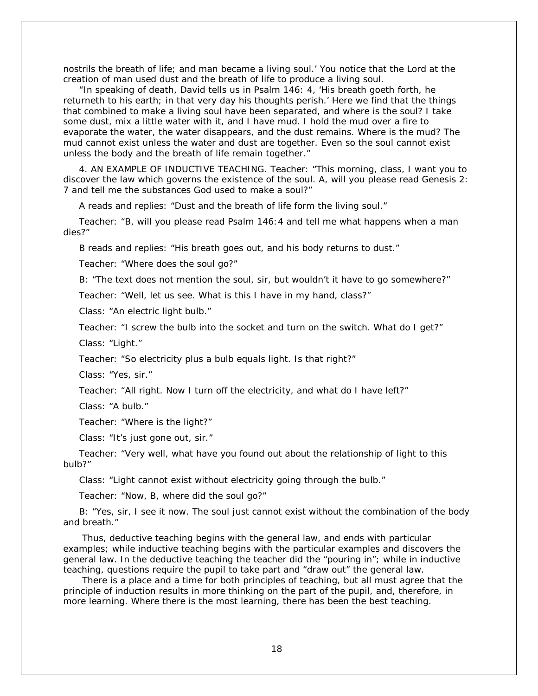nostrils the breath of life; and man became a living soul.' You notice that the Lord at the creation of man used dust and the breath of life to produce a living soul.

"In speaking of death, David tells us in Psalm 146: 4, 'His breath goeth forth, he returneth to his earth; in that very day his thoughts perish.' Here we find that the things that combined to make a living soul have been separated, and where is the soul? I take some dust, mix a little water with it, and I have mud. I hold the mud over a fire to evaporate the water, the water disappears, and the dust remains. Where is the mud? The mud cannot exist unless the water and dust are together. Even so the soul cannot exist unless the body and the breath of life remain together."

4. AN EXAMPLE OF INDUCTIVE TEACHING. *Teacher*: "This morning, class, I want you to discover the law which governs the existence of the soul. A, will you please read Genesis 2: 7 and tell me the substances God used to make a soul?"

*A reads and replies*: "Dust and the breath of life form the living soul."

*Teacher*: "B, will you please read Psalm 146:4 and tell me what happens when a man dies?"

*B reads and replies*: "His breath goes out, and his body returns to dust."

*Teacher:* "Where does the soul go?"

*B*: "The text does not mention the soul, sir, but wouldn't it have to go somewhere?"

*Teacher*: "Well, let us see. What is this I have in my hand, class?"

*Class*: "An electric light bulb."

Teacher: "I screw the bulb into the socket and turn on the switch. What do I get?"

*Class*: "Light."

*Teacher*: "So electricity plus a bulb equals light. Is that right?"

*Class*: "Yes, sir."

*Teacher*: "All right. Now I turn off the electricity, and what do I have left?"

*Class*: "A bulb."

*Teache*r: "Where is the light?"

*Class*: "It's just gone out, sir."

*Teacher*: "Very well, what have you found out about the relationship of light to this bulb?"

*Class*: "Light cannot exist without electricity going through the bulb."

*Teacher*: "Now, B, where did the soul go?"

*B*: "Yes, sir, I see it now. The soul just cannot exist without the combination of the body and breath."

Thus, deductive teaching begins with the general law, and ends with particular examples; while inductive teaching begins with the particular examples and discovers the general law. In the deductive teaching the teacher did the "pouring in"; while in inductive teaching, questions require the pupil to take part and "draw out" the general law.

There is a place and a time for both principles of teaching, but all must agree that the principle of induction results in more thinking on the part of the pupil, and, therefore, in more learning. Where there is the most learning, there has been the best teaching.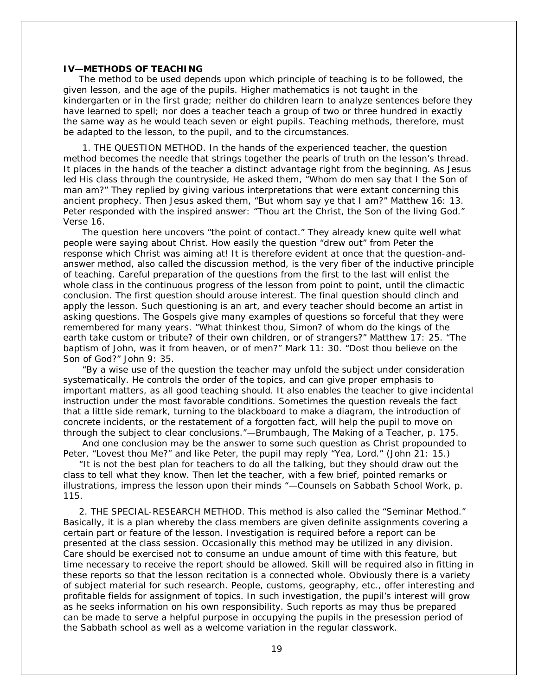### **IV—METHODS OF TEACHING**

The method to be used depends upon which principle of teaching is to be followed, the given lesson, and the age of the pupils. Higher mathematics is not taught in the kindergarten or in the first grade; neither do children learn to analyze sentences before they have learned to spell; nor does a teacher teach a group of two or three hundred in exactly the same way as he would teach seven or eight pupils. Teaching methods, therefore, must be adapted to the lesson, to the pupil, and to the circumstances.

1. THE QUESTION METHOD. In the hands of the experienced teacher, the question method becomes the needle that strings together the pearls of truth on the lesson's thread. It places in the hands of the teacher a distinct advantage right from the beginning. As Jesus led His class through the countryside, He asked them, "Whom do men say that I the Son of man am?" They replied by giving various interpretations that were extant concerning this ancient prophecy. Then Jesus asked them, "But whom say ye that I am?" Matthew 16: 13. Peter responded with the inspired answer: "Thou art the Christ, the Son of the living God." Verse 16.

The question here uncovers "the point of contact." They already knew quite well what people were saying about Christ. How easily the question "drew out" from Peter the response which Christ was aiming at! It is therefore evident at once that the question-andanswer method, also called the discussion method, is the very fiber of the inductive principle of teaching. Careful preparation of the questions from the first to the last will enlist the whole class in the continuous progress of the lesson from point to point, until the climactic conclusion. The first question should arouse interest. The final question should clinch and apply the lesson. Such questioning is an art, and every teacher should become an artist in asking questions. The Gospels give many examples of questions so forceful that they were remembered for many years. "What thinkest thou, Simon? of whom do the kings of the earth take custom or tribute? of their own children, or of strangers?" Matthew 17: 25. "The baptism of John, was it from heaven, or of men?" Mark 11: 30. "Dost thou believe on the Son of God?" John 9: 35.

"By a wise use of the question the teacher may unfold the subject under consideration systematically. He controls the order of the topics, and can give proper emphasis to important matters, as all good teaching should. It also enables the teacher to give incidental instruction under the most favorable conditions. Sometimes the question reveals the fact that a little side remark, turning to the blackboard to make a diagram, the introduction of concrete incidents, or the restatement of a forgotten fact, will help the pupil to move on through the subject to clear conclusions."—Brumbaugh, *The Making of a Teacher*, p. 175.

And one conclusion may be the answer to some such question as Christ propounded to Peter, "Lovest thou Me?" and like Peter, the pupil may reply "Yea, Lord." (John 21: 15.)

"It is not the best plan for teachers to do all the talking, but they should draw out the class to tell what they know. Then let the teacher, with a few brief, pointed remarks or illustrations, impress the lesson upon their minds "—*Counsels on Sabbath School Work*, p. 115.

2. THE SPECIAL-RESEARCH METHOD. This method is also called the "Seminar Method." Basically, it is a plan whereby the class members are given definite assignments covering a certain part or feature of the lesson. Investigation is required before a report can be presented at the class session. Occasionally this method may be utilized in any division. Care should be exercised not to consume an undue amount of time with this feature, but time necessary to receive the report should be allowed. Skill will be required also in fitting in these reports so that the lesson recitation is a connected whole. Obviously there is a variety of subject material for such research. People, customs, geography, etc., offer interesting and profitable fields for assignment of topics. In such investigation, the pupil's interest will grow as he seeks information on his own responsibility. Such reports as may thus be prepared can be made to serve a helpful purpose in occupying the pupils in the presession period of the Sabbath school as well as a welcome variation in the regular classwork.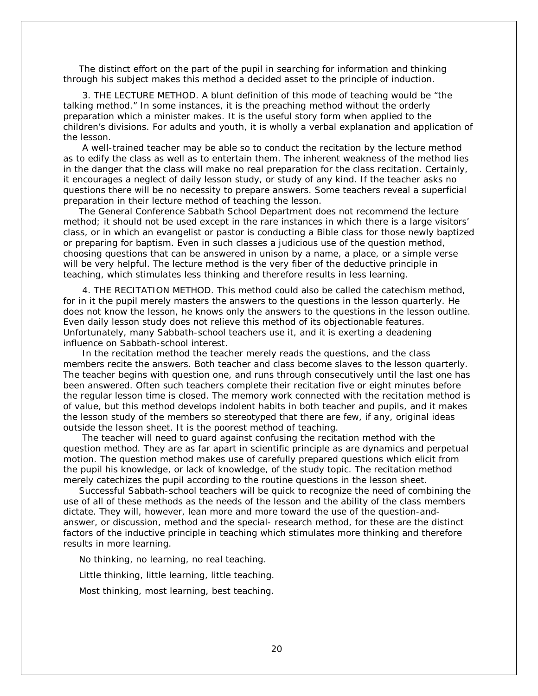The distinct effort on the part of the pupil in searching for information and thinking through his subject makes this method a decided asset to the principle of induction.

3. THE LECTURE METHOD. A blunt definition of this mode of teaching would be "the talking method." In some instances, it is the preaching method without the orderly preparation which a minister makes. It is the useful story form when applied to the children's divisions. For adults and youth, it is wholly a verbal explanation and application of the lesson.

A well-trained teacher may be able so to conduct the recitation by the lecture method as to edify the class as well as to entertain them. The inherent weakness of the method lies in the danger that the class will make no real preparation for the class recitation. Certainly, it encourages a neglect of daily lesson study, or study of any kind. If the teacher asks no questions there will be no necessity to prepare answers. Some teachers reveal a superficial preparation in their lecture method of teaching the lesson.

The General Conference Sabbath School Department does not recommend the lecture method; it should not be used except in the rare instances in which there is a large visitors' class, or in which an evangelist or pastor is conducting a Bible class for those newly baptized or preparing for baptism. Even in such classes a judicious use of the question method, choosing questions that can be answered in unison by a name, a place, or a simple verse will be very helpful. The lecture method is the very fiber of the deductive principle in teaching, which stimulates less thinking and therefore results in less learning.

4. THE RECITATION METHOD. This method could also be called the catechism method, for in it the pupil merely masters the answers to the questions in the lesson quarterly. He does not know the lesson, he knows only the answers to the questions in the lesson outline. Even daily lesson study does not relieve this method of its objectionable features. Unfortunately, many Sabbath-school teachers use it, and it is exerting a deadening influence on Sabbath-school interest.

In the recitation method the teacher merely reads the questions, and the class members recite the answers. Both teacher and class become slaves to the lesson quarterly. The teacher begins with question one, and runs through consecutively until the last one has been answered. Often such teachers complete their recitation five or eight minutes before the regular lesson time is closed. The memory work connected with the recitation method is of value, but this method develops indolent habits in both teacher and pupils, and it makes the lesson study of the members so stereotyped that there are few, if any, original ideas outside the lesson sheet. It is the poorest method of teaching.

The teacher will need to guard against confusing the recitation method with the question method. They are as far apart in scientific principle as are dynamics and perpetual motion. The question method makes use of carefully prepared questions which elicit from the pupil his knowledge, or lack of knowledge, of the study topic. The recitation method merely catechizes the pupil according to the routine questions in the lesson sheet.

Successful Sabbath-school teachers will be quick to recognize the need of combining the use of all of these methods as the needs of the lesson and the ability of the class members dictate. They will, however, lean more and more toward the use of the question-andanswer, or discussion, method and the special- research method, for these are the distinct factors of the inductive principle in teaching which stimulates more thinking and therefore results in more learning.

No thinking, no learning, no real teaching.

Little thinking, little learning, little teaching.

Most thinking, most learning, best teaching.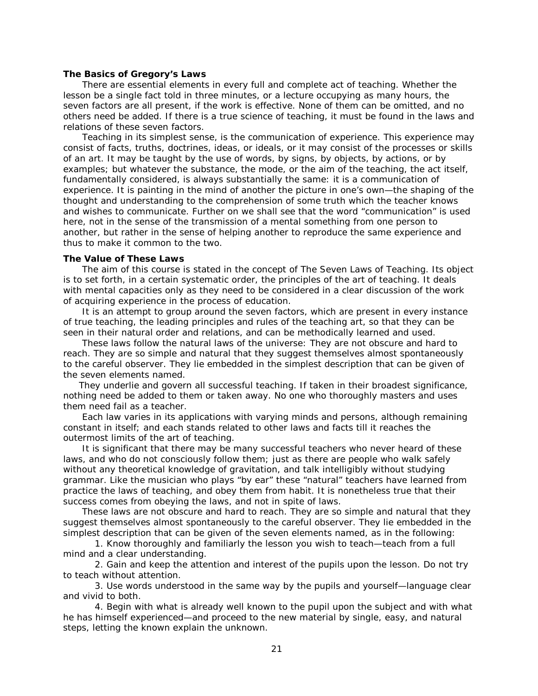#### **The Basics of Gregory's Laws**

There are essential elements in every full and complete act of teaching. Whether the lesson be a single fact told in three minutes, or a lecture occupying as many hours, the seven factors are all present, if the work is effective. None of them can be omitted, and no others need be added. If there is a true science of teaching, it must be found in the laws and relations of these seven factors.

Teaching in its simplest sense, is the communication of experience. This experience may consist of facts, truths, doctrines, ideas, or ideals, or it may consist of the processes or skills of an art. It may be taught by the use of words, by signs, by objects, by actions, or by examples; but whatever the substance, the mode, or the aim of the teaching, the act itself, fundamentally considered, is always substantially the same: it is a communication of experience. It is painting in the mind of another the picture in one's own—the shaping of the thought and understanding to the comprehension of some truth which the teacher knows and wishes to communicate. Further on we shall see that the word "communication" is used here, not in the sense of the transmission of a mental something from one person to another, but rather in the sense of helping another to reproduce the same experience and thus to make it common to the two.

#### **The Value of These Laws**

The aim of this course is stated in the concept of *The Seven Laws of Teaching*. Its object is to set forth, in a certain systematic order, the principles of the art of teaching. It deals with mental capacities only as they need to be considered in a clear discussion of the work of acquiring experience in the process of education.

It is an attempt to group around the seven factors, which are present in every instance of true teaching, the leading principles and rules of the teaching art, so that they can be seen in their natural order and relations, and can be methodically learned and used.

These laws follow the natural laws of the universe: They are not obscure and hard to reach. They are so simple and natural that they suggest themselves almost spontaneously to the careful observer. They lie embedded in the simplest description that can be given of the seven elements named.

They underlie and govern all successful teaching. If taken in their broadest significance, nothing need be added to them or taken away. No one who thoroughly masters and uses them need fail as a teacher.

Each law varies in its applications with varying minds and persons, although remaining constant in itself; and each stands related to other laws and facts till it reaches the outermost limits of the art of teaching.

It is significant that there may be many successful teachers who never heard of these laws, and who do not consciously follow them; just as there are people who walk safely without any theoretical knowledge of gravitation, and talk intelligibly without studying grammar. Like the musician who plays "by ear" these "natural" teachers have learned from practice the laws of teaching, and obey them from habit. It is nonetheless true that their success comes from obeying the laws, and not in spite of laws.

These laws are not obscure and hard to reach. They are so simple and natural that they suggest themselves almost spontaneously to the careful observer. They lie embedded in the simplest description that can be given of the seven elements named, as in the following:

1. Know thoroughly and familiarly the lesson you wish to teach—teach from a full mind and a clear understanding.

2. Gain and keep the attention and interest of the pupils upon the lesson. Do not try to teach without attention.

3. Use words understood in the same way by the pupils and yourself—language clear and vivid to both.

4. Begin with what is already well known to the pupil upon the subject and with what he has himself experienced—and proceed to the new material by single, easy, and natural steps, letting the known explain the unknown.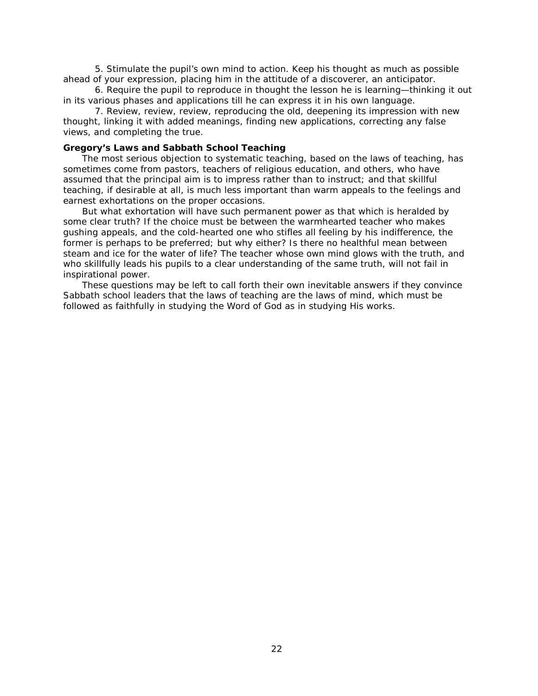5. Stimulate the pupil's own mind to action. Keep his thought as much as possible ahead of your expression, placing him in the attitude of a discoverer, an anticipator.

6. Require the pupil to reproduce in thought the lesson he is learning—thinking it out in its various phases and applications till he can express it in his own language.

7. Review, review, review, reproducing the old, deepening its impression with new thought, linking it with added meanings, finding new applications, correcting any false views, and completing the true.

#### **Gregory's Laws and Sabbath School Teaching**

The most serious objection to systematic teaching, based on the laws of teaching, has sometimes come from pastors, teachers of religious education, and others, who have assumed that the principal aim is to impress rather than to instruct; and that skillful teaching, if desirable at all, is much less important than warm appeals to the feelings and earnest exhortations on the proper occasions.

But what exhortation will have such permanent power as that which is heralded by some clear truth? If the choice must be between the warmhearted teacher who makes gushing appeals, and the cold-hearted one who stifles all feeling by his indifference, the former is perhaps to be preferred; but why either? Is there no healthful mean between steam and ice for the water of life? The teacher whose own mind glows with the truth, and who skillfully leads his pupils to a clear understanding of the same truth, will not fail in inspirational power.

These questions may be left to call forth their own inevitable answers if they convince Sabbath school leaders that the laws of teaching are the laws of mind, which must be followed as faithfully in studying the Word of God as in studying His works.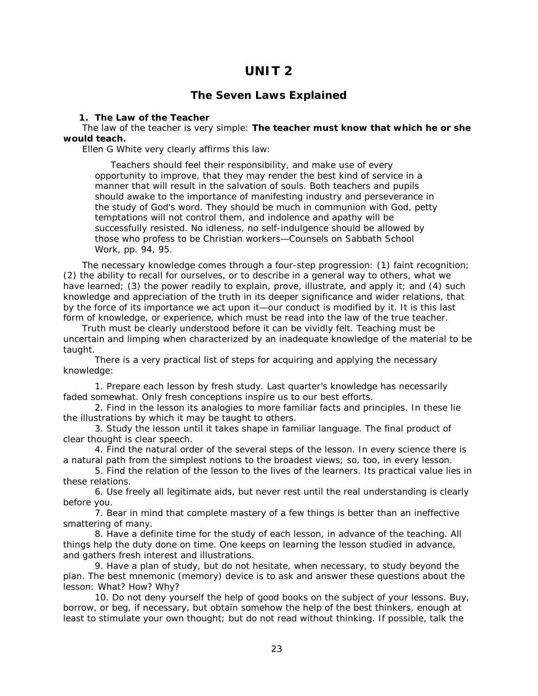## **UNIT 2**

## **The Seven Laws Explained**

### **1. The Law of the Teacher**

The law of the teacher is very simple: *The teacher must know that which he or she would teach***.** 

Ellen G White very clearly affirms this law:

Teachers should feel their responsibility, and make use of every opportunity to improve, that they may render the best kind of service in a manner that will result in the salvation of souls. Both teachers and pupils should awake to the importance of manifesting industry and perseverance in the study of God's word. They should be much in communion with God, petty temptations will not control them, and indolence and apathy will be successfully resisted. No idleness, no self-indulgence should be allowed by those who profess to be Christian workers—*Counsels on Sabbath School Work*, pp. 94, 95.

The necessary knowledge comes through a four-step progression: (1) faint recognition; (2) the ability to recall for ourselves, or to describe in a general way to others, what we have learned; (3) the power readily to explain, prove, illustrate, and apply it; and (4) such knowledge and appreciation of the truth in its deeper significance and wider relations, that by the force of its importance we act upon it—our conduct is modified by it. It is this last form of knowledge, or experience, which must be read into the law of the true teacher.

Truth must be clearly understood before it can be vividly felt. Teaching must be uncertain and limping when characterized by an inadequate knowledge of the material to be taught.

There is a very practical list of steps for acquiring and applying the necessary knowledge:

1. Prepare each lesson by fresh study. Last quarter's knowledge has necessarily faded somewhat. Only fresh conceptions inspire us to our best efforts.

2. Find in the lesson its analogies to more familiar facts and principles. In these lie the illustrations by which it may be taught to others.

3. Study the lesson until it takes shape in familiar language. The final product of clear thought is clear speech.

4. Find the natural order of the several steps of the lesson. In every science there is a natural path from the simplest notions to the broadest views; so, too, in every lesson.

5. Find the relation of the lesson to the lives of the learners. Its practical value lies in these relations.

6. Use freely all legitimate aids, but never rest until the real understanding is clearly before you.

7. Bear in mind that complete mastery of a few things is better than an ineffective smattering of many.

8. Have a definite time for the study of each lesson, in advance of the teaching. All things help the duty done on time. One keeps on learning the lesson studied in advance, and gathers fresh interest and illustrations.

9. Have a plan of study, but do not hesitate, when necessary, to study beyond the plan. The best mnemonic (memory) device is to ask and answer these questions about the lesson: What? How? Why?

10. Do not deny yourself the help of good books on the subject of your lessons. Buy, borrow, or beg, if necessary, but obtain somehow the help of the best thinkers, enough at least to stimulate your own thought; but do not read without thinking. If possible, talk the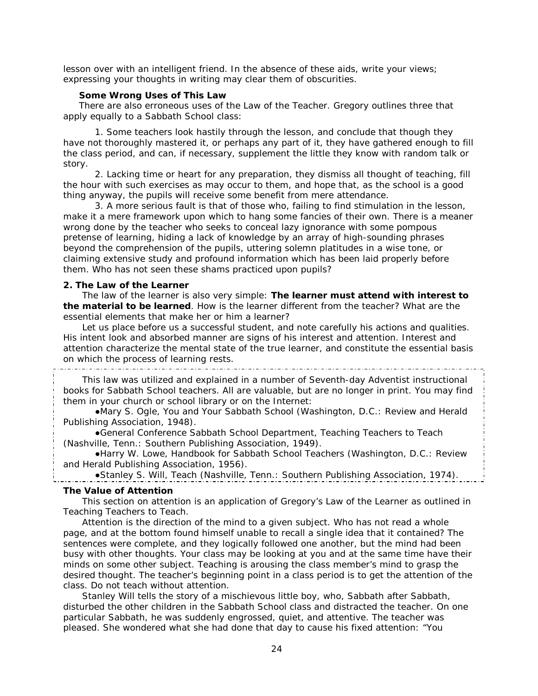lesson over with an intelligent friend. In the absence of these aids, write your views; expressing your thoughts in writing may clear them of obscurities.

#### **Some Wrong Uses of This Law**

There are also erroneous uses of the Law of the Teacher. Gregory outlines three that apply equally to a Sabbath School class:

1. Some teachers look hastily through the lesson, and conclude that though they have not thoroughly mastered it, or perhaps any part of it, they have gathered enough to fill the class period, and can, if necessary, supplement the little they know with random talk or story.

2. Lacking time or heart for any preparation, they dismiss all thought of teaching, fill the hour with such exercises as may occur to them, and hope that, as the school is a good thing anyway, the pupils will receive some benefit from mere attendance.

3. A more serious fault is that of those who, failing to find stimulation in the lesson, make it a mere framework upon which to hang some fancies of their own. There is a meaner wrong done by the teacher who seeks to conceal lazy ignorance with some pompous pretense of learning, hiding a lack of knowledge by an array of high-sounding phrases beyond the comprehension of the pupils, uttering solemn platitudes in a wise tone, or claiming extensive study and profound information which has been laid properly before them. Who has not seen these shams practiced upon pupils?

#### **2. The Law of the Learner**

The law of the learner is also very simple: *The learner must attend with interest to the material to be learned*. How is the learner different from the teacher? What are the essential elements that make her or him a learner?

Let us place before us a successful student, and note carefully his actions and qualities. His intent look and absorbed manner are signs of his interest and attention. Interest and attention characterize the mental state of the true learner, and constitute the essential basis on which the process of learning rests.

This law was utilized and explained in a number of Seventh-day Adventist instructional books for Sabbath School teachers. All are valuable, but are no longer in print. You may find them in your church or school library or on the Internet:

●Mary S. Ogle, *You and Your Sabbath School* (Washington, D.C.: Review and Herald Publishing Association, 1948).

●General Conference Sabbath School Department, *Teaching Teachers to Teach* (Nashville, Tenn.: Southern Publishing Association, 1949).

●Harry W. Lowe, *Handbook for Sabbath School Teachers* (Washington, D.C.: Review and Herald Publishing Association, 1956).

●Stanley S. Will, *Teach* (Nashville, Tenn.: Southern Publishing Association, 1974).

#### **The Value of Attention**

This section on attention is an application of Gregory's Law of the Learner as outlined in *Teaching Teachers to Teach*.

Attention is the direction of the mind to a given subject. Who has not read a whole page, and at the bottom found himself unable to recall a single idea that it contained? The sentences were complete, and they logically followed one another, but the mind had been busy with other thoughts. Your class may be looking at you and at the same time have their minds on some other subject. Teaching is arousing the class member's mind to grasp the desired thought. The teacher's beginning point in a class period is to get the attention of the class. Do not teach without attention.

Stanley Will tells the story of a mischievous little boy, who, Sabbath after Sabbath, disturbed the other children in the Sabbath School class and distracted the teacher. On one particular Sabbath, he was suddenly engrossed, quiet, and attentive. The teacher was pleased. She wondered what she had done that day to cause his fixed attention: "You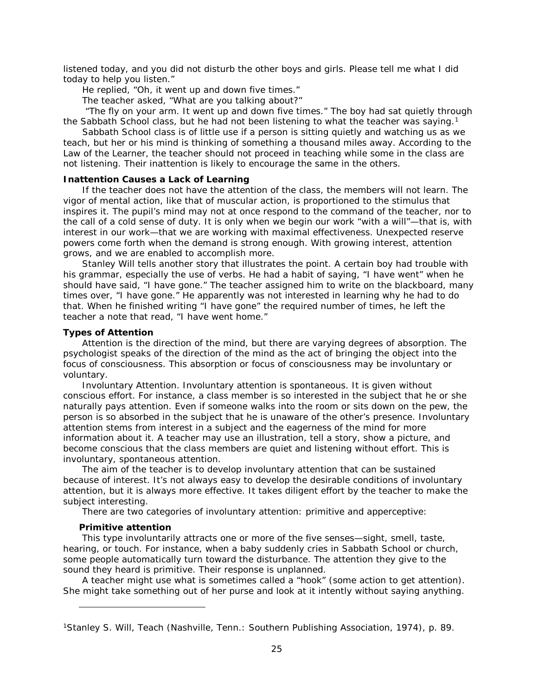listened today, and you did not disturb the other boys and girls. Please tell me what I did today to help you listen."

He replied, "Oh, it went up and down five times."

The teacher asked, "What are you talking about?"

"The fly on your arm. It went up and down five times." The boy had sat quietly through the Sabbath School class, but he had not been listening to what the teacher was saying.<sup>[1](#page-24-0)</sup>

Sabbath School class is of little use if a person is sitting quietly and watching us as we teach, but her or his mind is thinking of something a thousand miles away. According to the Law of the Learner, the teacher should not proceed in teaching while some in the class are not listening. Their inattention is likely to encourage the same in the others.

## **Inattention Causes a Lack of Learning**

If the teacher does not have the attention of the class, the members will not learn. The vigor of mental action, like that of muscular action, is proportioned to the stimulus that inspires it. The pupil's mind may not at once respond to the command of the teacher, nor to the call of a cold sense of duty. It is only when we begin our work "with a will"—that is, with interest in our work—that we are working with maximal effectiveness. Unexpected reserve powers come forth when the demand is strong enough. With growing interest, attention grows, and we are enabled to accomplish more.

Stanley Will tells another story that illustrates the point. A certain boy had trouble with his grammar, especially the use of verbs. He had a habit of saying, "I have *went*" when he should have said, "I have *gone*." The teacher assigned him to write on the blackboard, many times over, "I have *gone*." He apparently was not interested in learning why he had to do that. When he finished writing "I have gone" the required number of times, he left the teacher a note that read, "I have *went* home."

## **Types of Attention**

Attention is the direction of the mind, but there are varying degrees of absorption. The psychologist speaks of the direction of the mind as the act of bringing the object into the focus of consciousness. This absorption or focus of consciousness may be involuntary or voluntary.

*Involuntary Attention.* Involuntary attention is spontaneous. It is given without conscious effort. For instance, a class member is so interested in the subject that he or she naturally pays attention. Even if someone walks into the room or sits down on the pew, the person is so absorbed in the subject that he is unaware of the other's presence. Involuntary attention stems from interest in a subject and the eagerness of the mind for more information about it. A teacher may use an illustration, tell a story, show a picture, and become conscious that the class members are quiet and listening without effort. This is involuntary, spontaneous attention.

The aim of the teacher is to develop involuntary attention that can be sustained because of interest. It's not always easy to develop the desirable conditions of involuntary attention, but it is always more effective. It takes diligent effort by the teacher to make the subject interesting.

There are two categories of involuntary attention: *primitive* and *apperceptive*:

#### **Primitive attention**

i,

This type involuntarily attracts one or more of the five senses—sight, smell, taste, hearing, or touch. For instance, when a baby suddenly cries in Sabbath School or church, some people automatically turn toward the disturbance. The attention they give to the sound they heard is primitive. Their response is unplanned.

A teacher might use what is sometimes called a "hook" (some action to get attention). She might take something out of her purse and look at it intently without saying anything.

<span id="page-24-0"></span><sup>1</sup>Stanley S. Will, *Teach* (Nashville, Tenn.: Southern Publishing Association, 1974), p. 89.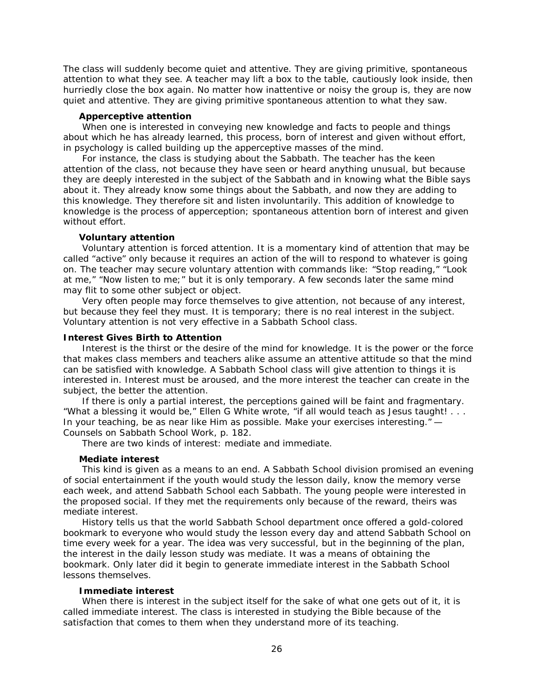The class will suddenly become quiet and attentive. They are giving primitive, spontaneous attention to what they see. A teacher may lift a box to the table, cautiously look inside, then hurriedly close the box again. No matter how inattentive or noisy the group is, they are now quiet and attentive. They are giving primitive spontaneous attention to what they saw.

### **Apperceptive attention**

When one is interested in conveying new knowledge and facts to people and things about which he has already learned, this process, born of interest and given without effort, in psychology is called building up the apperceptive masses of the mind.

For instance, the class is studying about the Sabbath. The teacher has the keen attention of the class, not because they have seen or heard anything unusual, but because they are deeply interested in the subject of the Sabbath and in knowing what the Bible says about it. They already know some things about the Sabbath, and now they are adding to this knowledge. They therefore sit and listen involuntarily. This addition of knowledge to knowledge is the process of *apperception*; spontaneous attention born of interest and given without effort.

#### **Voluntary attention**

Voluntary attention is forced attention. It is a momentary kind of attention that may be called "active" only because it requires an action of the will to respond to whatever is going on. The teacher may secure voluntary attention with commands like: "Stop reading," "Look at me," "Now listen to me;" but it is only temporary. A few seconds later the same mind may flit to some other subject or object.

Very often people may force themselves to give attention, not because of any interest, but because they feel they must. It is temporary; there is no real interest in the subject. Voluntary attention is not very effective in a Sabbath School class.

#### **Interest Gives Birth to Attention**

Interest is the thirst or the desire of the mind for knowledge. It is the power or the force that makes class members and teachers alike assume an attentive attitude so that the mind can be satisfied with knowledge. A Sabbath School class will give attention to things it is interested in. Interest must be aroused, and the more interest the teacher can create in the subject, the better the attention.

If there is only a partial interest, the perceptions gained will be faint and fragmentary. "What a blessing it would be," Ellen G White wrote, "if all would teach as Jesus taught! . . . In your teaching, be as near like Him as possible. Make your exercises interesting." — *Counsels on Sabbath School Work*, p. 182.

There are two kinds of interest: *mediate* and *immediate*.

#### **Mediate interest**

This kind is given as a means to an end. A Sabbath School division promised an evening of social entertainment if the youth would study the lesson daily, know the memory verse each week, and attend Sabbath School each Sabbath. The young people were interested in the proposed social. If they met the requirements only because of the reward, theirs was *mediate* interest.

History tells us that the world Sabbath School department once offered a gold-colored bookmark to everyone who would study the lesson every day and attend Sabbath School on time every week for a year. The idea was very successful, but in the beginning of the plan, the interest in the daily lesson study was *mediate*. It was a means of obtaining the bookmark. Only later did it begin to generate *immediate interest* in the Sabbath School lessons themselves.

#### **Immediate interest**

When there is interest in the subject itself for the sake of what one gets out of it, it is called *immediate* interest. The class is interested in studying the Bible because of the satisfaction that comes to them when they understand more of its teaching.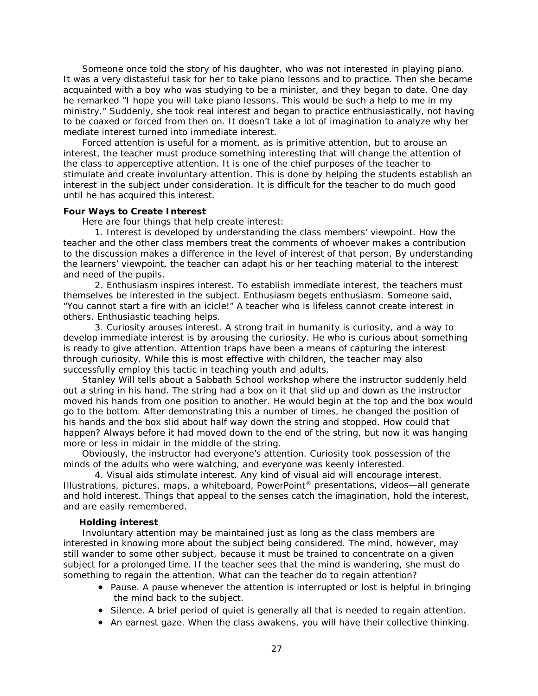Someone once told the story of his daughter, who was not interested in playing piano. It was a very distasteful task for her to take piano lessons and to practice. Then she became acquainted with a boy who was studying to be a minister, and they began to date. One day he remarked "I hope you will take piano lessons. This would be such a help to me in my ministry." Suddenly, she took real interest and began to practice enthusiastically, not having to be coaxed or forced from then on. It doesn't take a lot of imagination to analyze why her mediate interest turned into immediate interest.

Forced attention is useful for a moment, as is primitive attention, but to arouse an interest, the teacher must produce something interesting that will change the attention of the class to apperceptive attention. It is one of the chief purposes of the teacher to stimulate and create involuntary attention. This is done by helping the students establish an interest in the subject under consideration. It is difficult for the teacher to do much good until he has acquired this interest.

#### **Four Ways to Create Interest**

Here are four things that help create interest:

1. *Interest is developed by understanding the class members' viewpoint*. How the teacher and the other class members treat the comments of whoever makes a contribution to the discussion makes a difference in the level of interest of that person. By understanding the learners' viewpoint, the teacher can adapt his or her teaching material to the interest and need of the pupils.

2. *Enthusiasm inspires interest*. To establish immediate interest, the teachers must themselves be interested in the subject. Enthusiasm begets enthusiasm. Someone said, "You cannot start a fire with an icicle!" A teacher who is lifeless cannot create interest in others. Enthusiastic teaching helps.

3. *Curiosity arouses interest*. A strong trait in humanity is curiosity, and a way to develop immediate interest is by arousing the curiosity. He who is curious about something is ready to give attention. Attention traps have been a means of capturing the interest through curiosity. While this is most effective with children, the teacher may also successfully employ this tactic in teaching youth and adults.

Stanley Will tells about a Sabbath School workshop where the instructor suddenly held out a string in his hand. The string had a box on it that slid up and down as the instructor moved his hands from one position to another. He would begin at the top and the box would go to the bottom. After demonstrating this a number of times, he changed the position of his hands and the box slid about half way down the string and stopped. How could that happen? Always before it had moved down to the end of the string, but now it was hanging more or less in midair in the middle of the string.

Obviously, the instructor had everyone's attention. Curiosity took possession of the minds of the adults who were watching, and everyone was keenly interested.

4. *Visual aids stimulate interest*. Any kind of visual aid will encourage interest. Illustrations, pictures, maps, a whiteboard, PowerPoint® presentations, videos—all generate and hold interest. Things that appeal to the senses catch the imagination, hold the interest, and are easily remembered.

#### **Holding interest**

Involuntary attention may be maintained just as long as the class members are interested in knowing more about the subject being considered. The mind, however, may still wander to some other subject, because it must be trained to concentrate on a given subject for a prolonged time. If the teacher sees that the mind is wandering, she must do something to regain the attention. What can the teacher do to regain attention?

- *Pause.* A pause whenever the attention is interrupted or lost is helpful in bringing the mind back to the subject.
- *Silence.* A brief period of quiet is generally all that is needed to regain attention.
- *An earnest gaze.* When the class awakens, you will have their collective thinking.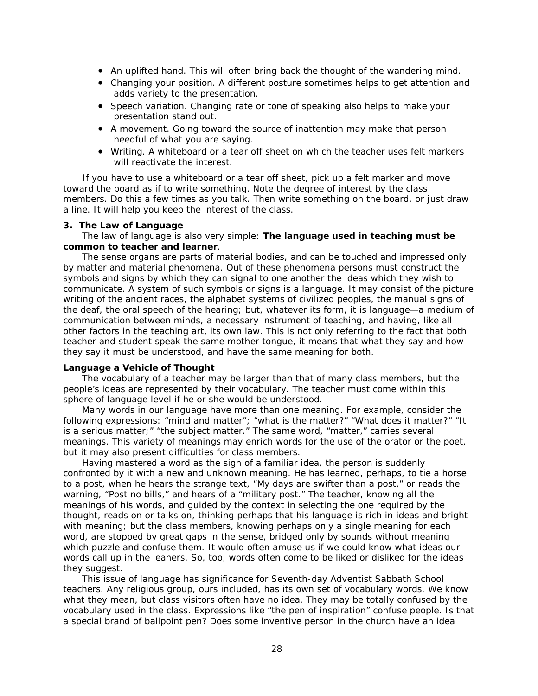- *An uplifted hand.* This will often bring back the thought of the wandering mind.
- *Changing your position.* A different posture sometimes helps to get attention and adds variety to the presentation.
- *Speech variation.* Changing rate or tone of speaking also helps to make your presentation stand out.
- *A movement.* Going toward the source of inattention may make that person heedful of what you are saying.
- *Writing.* A whiteboard or a tear off sheet on which the teacher uses felt markers will reactivate the interest.

If you have to use a whiteboard or a tear off sheet, pick up a felt marker and move toward the board as if to write something. Note the degree of interest by the class members. Do this a few times as you talk. Then write something on the board, or just draw a line. It will help you keep the interest of the class.

#### **3. The Law of Language**

#### The law of language is also very simple: *The language used in teaching must be common to teacher and learner*.

The sense organs are parts of material bodies, and can be touched and impressed only by matter and material phenomena. Out of these phenomena persons must construct the symbols and signs by which they can signal to one another the ideas which they wish to communicate. A system of such symbols or signs is a language. It may consist of the picture writing of the ancient races, the alphabet systems of civilized peoples, the manual signs of the deaf, the oral speech of the hearing; but, whatever its form, it is language—a medium of communication between minds, a necessary instrument of teaching, and having, like all other factors in the teaching art, its own law. This is not only referring to the fact that both teacher and student speak the same mother tongue, it means that what they say and how they say it must be understood, and have the same meaning for both.

### **Language a Vehicle of Thought**

The vocabulary of a teacher may be larger than that of many class members, but the people's ideas are represented by their vocabulary. The teacher must come within this sphere of language level if he or she would be understood.

Many words in our language have more than one meaning. For example, consider the following expressions: "mind and matter"; "what is the matter?" "What does it matter?" "It is a serious matter;" "the subject matter." The same word, "matter," carries several meanings. This variety of meanings may enrich words for the use of the orator or the poet, but it may also present difficulties for class members.

Having mastered a word as the sign of a familiar idea, the person is suddenly confronted by it with a new and unknown meaning. He has learned, perhaps, to tie a horse to a post, when he hears the strange text, "My days are swifter than a post," or reads the warning, "Post no bills," and hears of a "military post." The teacher, knowing all the meanings of his words, and guided by the context in selecting the one required by the thought, reads on or talks on, thinking perhaps that his language is rich in ideas and bright with meaning; but the class members, knowing perhaps only a single meaning for each word, are stopped by great gaps in the sense, bridged only by sounds without meaning which puzzle and confuse them. It would often amuse us if we could know what ideas our words call up in the leaners. So, too, words often come to be liked or disliked for the ideas they suggest.

This issue of language has significance for Seventh-day Adventist Sabbath School teachers. Any religious group, ours included, has its own set of vocabulary words. *We* know what they mean, but class visitors often have no idea. They may be totally confused by the vocabulary used in the class. Expressions like "the pen of inspiration" confuse people. Is that a special brand of ballpoint pen? Does some inventive person in the church have an idea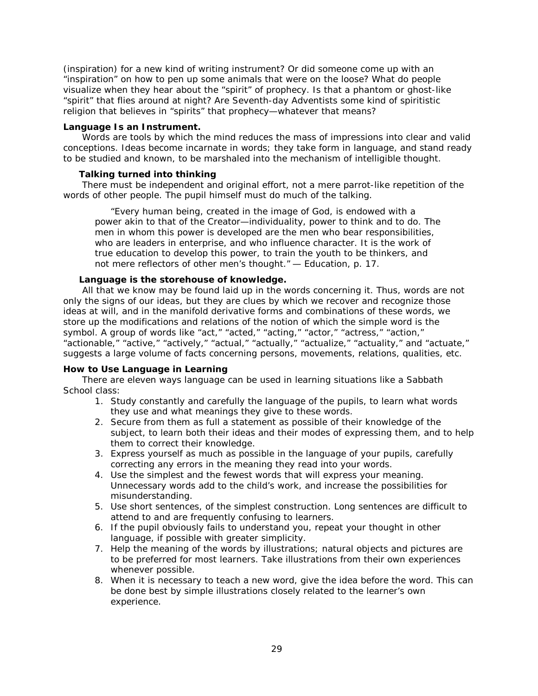(inspiration) for a new kind of writing instrument? Or did someone come up with an "inspiration" on how to pen up some animals that were on the loose? What do people visualize when they hear about the "spirit" of prophecy. Is that a phantom or ghost-like "spirit" that flies around at night? Are Seventh-day Adventists some kind of spiritistic religion that believes in "spirits" that prophecy—whatever that means?

### **Language Is an Instrument.**

Words are tools by which the mind reduces the mass of impressions into clear and valid conceptions. Ideas become incarnate in words; they take form in language, and stand ready to be studied and known, to be marshaled into the mechanism of intelligible thought.

## **Talking turned into thinking**

There must be independent and original effort, not a mere parrot-like repetition of the words of other people. The pupil himself must do much of the talking.

"Every human being, created in the image of God, is endowed with a power akin to that of the Creator—individuality, power to think and to do. The men in whom this power is developed are the men who bear responsibilities, who are leaders in enterprise, and who influence character. It is the work of true education to develop this power, to train the youth to be thinkers, and not mere reflectors of other men's thought." — *Education*, p. 17.

## **Language is the storehouse of knowledge.**

All that we know may be found laid up in the words concerning it. Thus, words are not only the signs of our ideas, but they are clues by which we recover and recognize those ideas at will, and in the manifold derivative forms and combinations of these words, we store up the modifications and relations of the notion of which the simple word is the symbol. A group of words like "act," "acted," "acting," "actor," "actress," "action," "actionable," "active," "actively," "actual," "actually," "actualize," "actuality," and "actuate," suggests a large volume of facts concerning persons, movements, relations, qualities, etc.

## **How to Use Language in Learning**

There are eleven ways language can be used in learning situations like a Sabbath School class:

- 1. Study constantly and carefully the language of the pupils, to learn what words they use and what meanings they give to these words.
- 2. Secure from them as full a statement as possible of their knowledge of the subject, to learn both their ideas and their modes of expressing them, and to help them to correct their knowledge.
- 3. Express yourself as much as possible in the language of your pupils, carefully correcting any errors in the meaning they read into your words.
- 4. Use the simplest and the fewest words that will express your meaning. Unnecessary words add to the child's work, and increase the possibilities for misunderstanding.
- 5. Use short sentences, of the simplest construction. Long sentences are difficult to attend to and are frequently confusing to learners.
- 6. If the pupil obviously fails to understand you, repeat your thought in other language, if possible with greater simplicity.
- 7. Help the meaning of the words by illustrations; natural objects and pictures are to be preferred for most learners. Take illustrations from their own experiences whenever possible.
- 8. When it is necessary to teach a new word, give the idea before the word. This can be done best by simple illustrations closely related to the learner's own experience.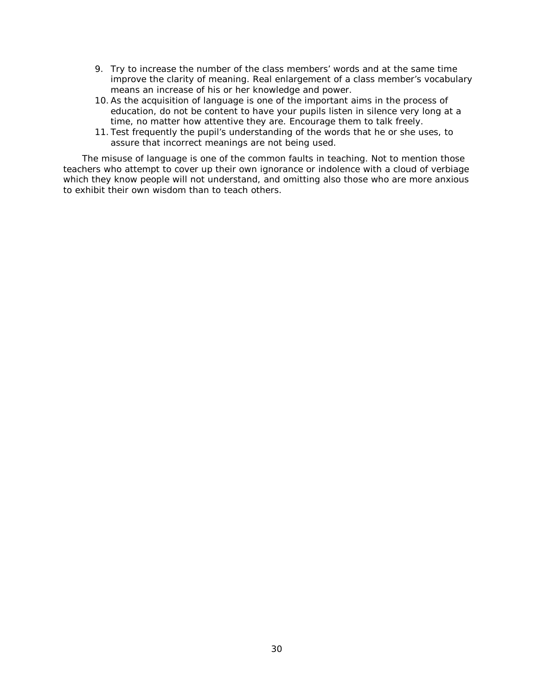- 9. Try to increase the number of the class members' words and at the same time improve the clarity of meaning. Real enlargement of a class member's vocabulary means an increase of his or her knowledge and power.
- 10.As the acquisition of language is one of the important aims in the process of education, do not be content to have your pupils listen in silence very long at a time, no matter how attentive they are. Encourage them to talk freely.
- 11. Test frequently the pupil's understanding of the words that he or she uses, to assure that incorrect meanings are not being used.

The misuse of language is one of the common faults in teaching. Not to mention those teachers who attempt to cover up their own ignorance or indolence with a cloud of verbiage which they know people will not understand, and omitting also those who are more anxious to exhibit their own wisdom than to teach others.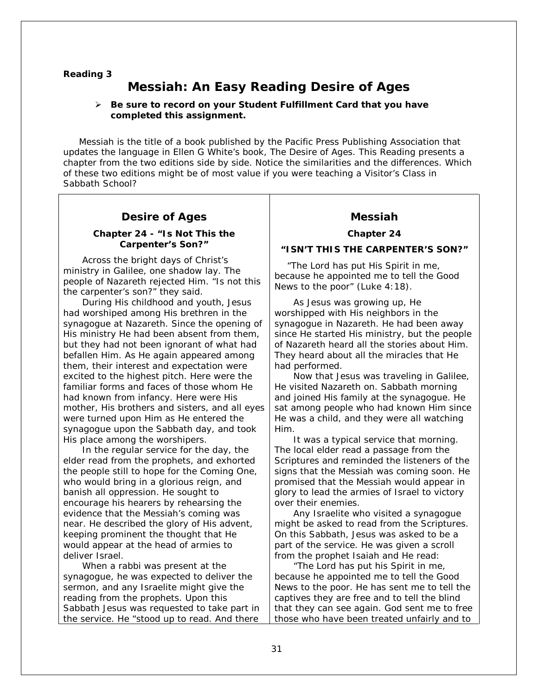#### **Reading 3**

## *Messiah***: An Easy Reading** *Desire of Ages*

### *Be sure to record on your* **Student Fulfillment Card** *that you have completed this assignment.*

*Messiah* is the title of a book published by the Pacific Press Publishing Association that updates the language in Ellen G White's book, *The Desire of Ages*. This Reading presents a chapter from the two editions side by side. Notice the similarities and the differences. Which of these two editions might be of most value if you were teaching a Visitor's Class in Sabbath School?

## *Desire of Ages*

### **Chapter 24 - "Is Not This the Carpenter's Son?"**

Across the bright days of Christ's ministry in Galilee, one shadow lay. The people of Nazareth rejected Him. "Is not this the carpenter's son?" they said.

During His childhood and youth, Jesus had worshiped among His brethren in the synagogue at Nazareth. Since the opening of His ministry He had been absent from them, but they had not been ignorant of what had befallen Him. As He again appeared among them, their interest and expectation were excited to the highest pitch. Here were the familiar forms and faces of those whom He had known from infancy. Here were His mother, His brothers and sisters, and all eyes were turned upon Him as He entered the synagogue upon the Sabbath day, and took His place among the worshipers.

In the regular service for the day, the elder read from the prophets, and exhorted the people still to hope for the Coming One, who would bring in a glorious reign, and banish all oppression. He sought to encourage his hearers by rehearsing the evidence that the Messiah's coming was near. He described the glory of His advent, keeping prominent the thought that He would appear at the head of armies to deliver Israel.

When a rabbi was present at the synagogue, he was expected to deliver the sermon, and any Israelite might give the reading from the prophets. Upon this Sabbath Jesus was requested to take part in the service. He "stood up to read. And there

## *Messiah*

#### **Chapter 24**

#### **"ISN'T THIS THE CARPENTER'S SON?"**

"The Lord has put His Spirit in me, because he appointed me to tell the Good News to the poor" (Luke 4:18).

As Jesus was growing up, He worshipped with His neighbors in the synagogue in Nazareth. He had been away since He started His ministry, but the people of Nazareth heard all the stories about Him. They heard about all the miracles that He had performed.

Now that Jesus was traveling in Galilee, He visited Nazareth on. Sabbath morning and joined His family at the synagogue. He sat among people who had known Him since He was a child, and they were all watching Him.

It was a typical service that morning. The local elder read a passage from the Scriptures and reminded the listeners of the signs that the Messiah was coming soon. He promised that the Messiah would appear in glory to lead the armies of Israel to victory over their enemies.

Any Israelite who visited a synagogue might be asked to read from the Scriptures. On this Sabbath, Jesus was asked to be a part of the service. He was given a scroll from the prophet Isaiah and He read:

"The Lord has put his Spirit in me, because he appointed me to tell the Good News to the poor. He has sent me to tell the captives they are free and to tell the blind that they can see again. God sent me to free those who have been treated unfairly and to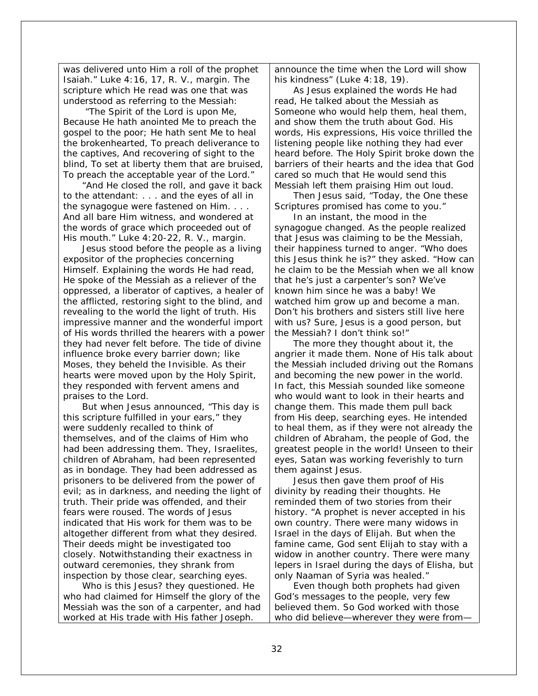was delivered unto Him a roll of the prophet Isaiah." Luke 4:16, 17, R. V., margin. The scripture which He read was one that was understood as referring to the Messiah:

"The Spirit of the Lord is upon Me, Because He hath anointed Me to preach the gospel to the poor; He hath sent Me to heal the brokenhearted, To preach deliverance to the captives, And recovering of sight to the blind, To set at liberty them that are bruised, To preach the acceptable year of the Lord."

"And He closed the roll, and gave it back to the attendant: . . . and the eyes of all in the synagogue were fastened on Him. . . . And all bare Him witness, and wondered at the words of grace which proceeded out of His mouth." Luke 4:20-22, R. V., margin.

Jesus stood before the people as a living expositor of the prophecies concerning Himself. Explaining the words He had read, He spoke of the Messiah as a reliever of the oppressed, a liberator of captives, a healer of the afflicted, restoring sight to the blind, and revealing to the world the light of truth. His impressive manner and the wonderful import of His words thrilled the hearers with a power they had never felt before. The tide of divine influence broke every barrier down; like Moses, they beheld the Invisible. As their hearts were moved upon by the Holy Spirit, they responded with fervent amens and praises to the Lord.

But when Jesus announced, "This day is this scripture fulfilled in your ears," they were suddenly recalled to think of themselves, and of the claims of Him who had been addressing them. They, Israelites, children of Abraham, had been represented as in bondage. They had been addressed as prisoners to be delivered from the power of evil; as in darkness, and needing the light of truth. Their pride was offended, and their fears were roused. The words of Jesus indicated that His work for them was to be altogether different from what they desired. Their deeds might be investigated too closely. Notwithstanding their exactness in outward ceremonies, they shrank from inspection by those clear, searching eyes.

Who is this Jesus? they questioned. He who had claimed for Himself the glory of the Messiah was the son of a carpenter, and had worked at His trade with His father Joseph.

announce the time when the Lord will show his kindness" (Luke 4:18, 19).

As Jesus explained the words He had read, He talked about the Messiah as Someone who would help them, heal them, and show them the truth about God. His words, His expressions, His voice thrilled the listening people like nothing they had ever heard before. The Holy Spirit broke down the barriers of their hearts and the idea that God cared so much that He would send this Messiah left them praising Him out loud.

Then Jesus said, "Today, the One these Scriptures promised has come to you."

In an instant, the mood in the synagogue changed. As the people realized that Jesus was claiming to be the Messiah, their happiness turned to anger. "Who does this Jesus think he is?" they asked. "How can he claim to be the Messiah when we all know that he's just a carpenter's son? We've known him since he was a baby! We watched him grow up and become a man. Don't his brothers and sisters still live here with us? Sure, Jesus is a good person, but the Messiah? I don't think so!"

The more they thought about it, the angrier it made them. None of His talk about the Messiah included driving out the Romans and becoming the new power in the world. In fact, this Messiah sounded like someone who would want to look in their hearts and change them. This made them pull back from His deep, searching eyes. He intended to heal them, as if they were not already the children of Abraham, the people of God, the greatest people in the world! Unseen to their eyes, Satan was working feverishly to turn them against Jesus.

Jesus then gave them proof of His divinity by reading their thoughts. He reminded them of two stories from their history. "A prophet is never accepted in his own country. There were many widows in Israel in the days of Elijah. But when the famine came, God sent Elijah to stay with a widow in another country. There were many lepers in Israel during the days of Elisha, but only Naaman of Syria was healed."

Even though both prophets had given God's messages to the people, very few believed them. So God worked with those who did believe—wherever they were from—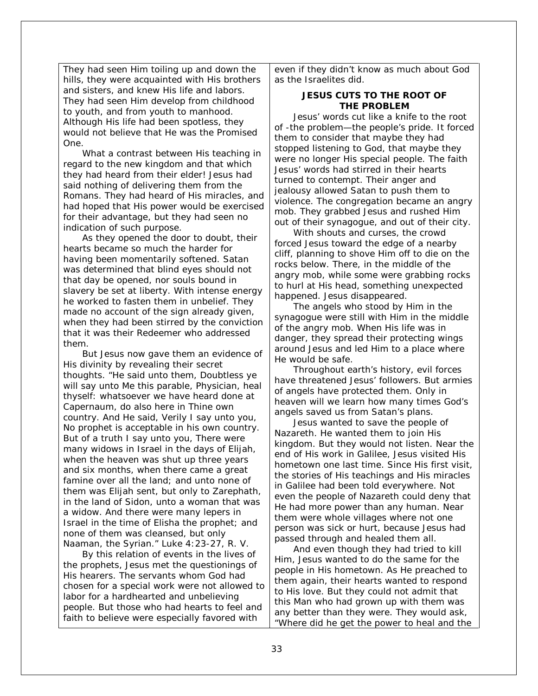They had seen Him toiling up and down the hills, they were acquainted with His brothers and sisters, and knew His life and labors. They had seen Him develop from childhood to youth, and from youth to manhood. Although His life had been spotless, they would not believe that He was the Promised One.

What a contrast between His teaching in regard to the new kingdom and that which they had heard from their elder! Jesus had said nothing of delivering them from the Romans. They had heard of His miracles, and had hoped that His power would be exercised for their advantage, but they had seen no indication of such purpose.

As they opened the door to doubt, their hearts became so much the harder for having been momentarily softened. Satan was determined that blind eyes should not that day be opened, nor souls bound in slavery be set at liberty. With intense energy he worked to fasten them in unbelief. They made no account of the sign already given, when they had been stirred by the conviction that it was their Redeemer who addressed them.

But Jesus now gave them an evidence of His divinity by revealing their secret thoughts. "He said unto them, Doubtless ye will say unto Me this parable, Physician, heal thyself: whatsoever we have heard done at Capernaum, do also here in Thine own country. And He said, Verily I say unto you, No prophet is acceptable in his own country. But of a truth I say unto you, There were many widows in Israel in the days of Elijah, when the heaven was shut up three years and six months, when there came a great famine over all the land; and unto none of them was Elijah sent, but only to Zarephath, in the land of Sidon, unto a woman that was a widow. And there were many lepers in Israel in the time of Elisha the prophet; and none of them was cleansed, but only Naaman, the Syrian." Luke 4:23-27, R. V.

By this relation of events in the lives of the prophets, Jesus met the questionings of His hearers. The servants whom God had chosen for a special work were not allowed to labor for a hardhearted and unbelieving people. But those who had hearts to feel and faith to believe were especially favored with

even if they didn't know as much about God as the Israelites did.

### **JESUS CUTS TO THE ROOT OF THE PROBLEM**

Jesus' words cut like a knife to the root of -the problem—the people's pride. It forced them to consider that maybe they had stopped listening to God, that maybe they were no longer His special people. The faith Jesus' words had stirred in their hearts turned to contempt. Their anger and jealousy allowed Satan to push them to violence. The congregation became an angry mob. They grabbed Jesus and rushed Him out of their synagogue, and out of their city.

With shouts and curses, the crowd forced Jesus toward the edge of a nearby cliff, planning to shove Him off to die on the rocks below. There, in the middle of the angry mob, while some were grabbing rocks to hurl at His head, something unexpected happened. Jesus disappeared.

The angels who stood by Him in the synagogue were still with Him in the middle of the angry mob. When His life was in danger, they spread their protecting wings around Jesus and led Him to a place where He would be safe.

Throughout earth's history, evil forces have threatened Jesus' followers. But armies of angels have protected them. Only in heaven will we learn how many times God's angels saved us from Satan's plans.

Jesus wanted to save the people of Nazareth. He wanted them to join His kingdom. But they would not listen. Near the end of His work in Galilee, Jesus visited His hometown one last time. Since His first visit, the stories of His teachings and His miracles in Galilee had been told everywhere. Not even the people of Nazareth could deny that He had more power than any human. Near them were whole villages where not one person was sick or hurt, because Jesus had passed through and healed them all.

And even though they had tried to kill Him, Jesus wanted to do the same for the people in His hometown. As He preached to them again, their hearts wanted to respond to His love. But they could not admit that this Man who had grown up with them was any better than they were. They would ask, "Where did he get the power to heal and the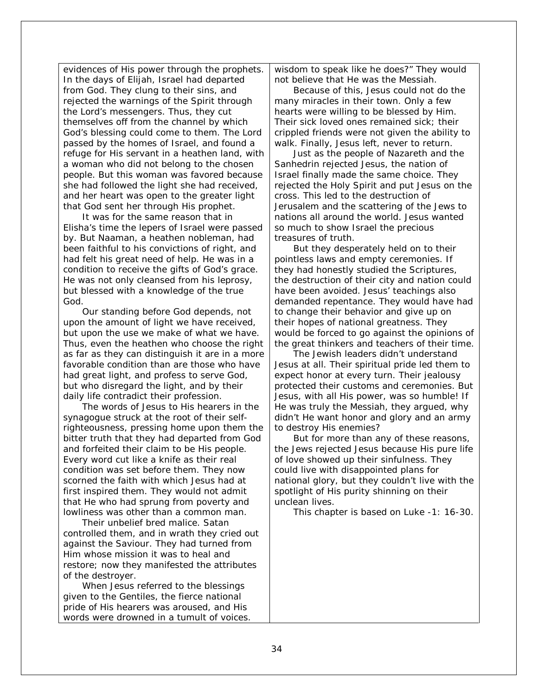evidences of His power through the prophets. In the days of Elijah, Israel had departed from God. They clung to their sins, and rejected the warnings of the Spirit through the Lord's messengers. Thus, they cut themselves off from the channel by which God's blessing could come to them. The Lord passed by the homes of Israel, and found a refuge for His servant in a heathen land, with a woman who did not belong to the chosen people. But this woman was favored because she had followed the light she had received, and her heart was open to the greater light that God sent her through His prophet.

It was for the same reason that in Elisha's time the lepers of Israel were passed by. But Naaman, a heathen nobleman, had been faithful to his convictions of right, and had felt his great need of help. He was in a condition to receive the gifts of God's grace. He was not only cleansed from his leprosy, but blessed with a knowledge of the true God.

Our standing before God depends, not upon the amount of light we have received, but upon the use we make of what we have. Thus, even the heathen who choose the right as far as they can distinguish it are in a more favorable condition than are those who have had great light, and profess to serve God, but who disregard the light, and by their daily life contradict their profession.

The words of Jesus to His hearers in the synagogue struck at the root of their selfrighteousness, pressing home upon them the bitter truth that they had departed from God and forfeited their claim to be His people. Every word cut like a knife as their real condition was set before them. They now scorned the faith with which Jesus had at first inspired them. They would not admit that He who had sprung from poverty and lowliness was other than a common man.

Their unbelief bred malice. Satan controlled them, and in wrath they cried out against the Saviour. They had turned from Him whose mission it was to heal and restore; now they manifested the attributes of the destroyer.

When Jesus referred to the blessings given to the Gentiles, the fierce national pride of His hearers was aroused, and His words were drowned in a tumult of voices. wisdom to speak like he does?" They would not believe that He was the Messiah.

Because of this, Jesus could not do the many miracles in their town. Only a few hearts were willing to be blessed by Him. Their sick loved ones remained sick; their crippled friends were not given the ability to walk. Finally, Jesus left, never to return.

Just as the people of Nazareth and the Sanhedrin rejected Jesus, the nation of Israel finally made the same choice. They rejected the Holy Spirit and put Jesus on the cross. This led to the destruction of Jerusalem and the scattering of the Jews to nations all around the world. Jesus wanted so much to show Israel the precious treasures of truth.

But they desperately held on to their pointless laws and empty ceremonies. If they had honestly studied the Scriptures, the destruction of their city and nation could have been avoided. Jesus' teachings also demanded repentance. They would have had to change their behavior and give up on their hopes of national greatness. They would be forced to go against the opinions of the great thinkers and teachers of their time.

The Jewish leaders didn't understand Jesus at all. Their spiritual pride led them to expect honor at every turn. Their jealousy protected their customs and ceremonies. But Jesus, with all His power, was so humble! If He was truly the Messiah, they argued, why didn't He want honor and glory and an army to destroy His enemies?

But for more than any of these reasons, the Jews rejected Jesus because His pure life of love showed up their sinfulness. They could live with disappointed plans for national glory, but they couldn't live with the spotlight of His purity shinning on their unclean lives.

This chapter is based on Luke -1: 16-30.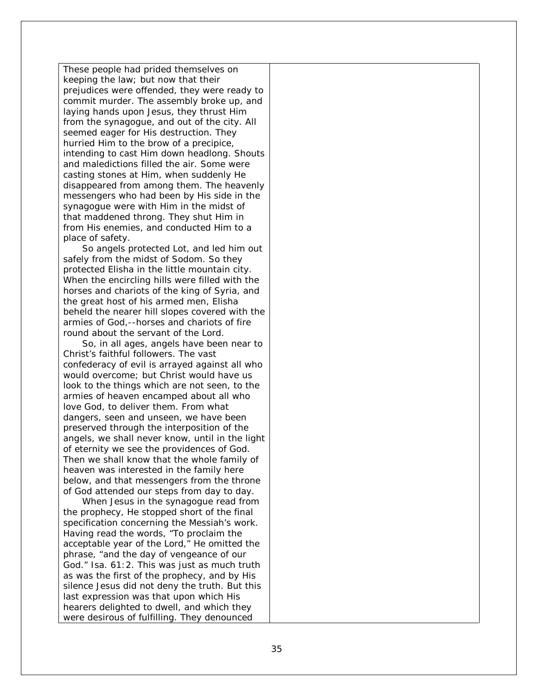These people had prided themselves on keeping the law; but now that their prejudices were offended, they were ready to commit murder. The assembly broke up, and laying hands upon Jesus, they thrust Him from the synagogue, and out of the city. All seemed eager for His destruction. They hurried Him to the brow of a precipice, intending to cast Him down headlong. Shouts and maledictions filled the air. Some were casting stones at Him, when suddenly He disappeared from among them. The heavenly messengers who had been by His side in the synagogue were with Him in the midst of that maddened throng. They shut Him in from His enemies, and conducted Him to a place of safety.

So angels protected Lot, and led him out safely from the midst of Sodom. So they protected Elisha in the little mountain city. When the encircling hills were filled with the horses and chariots of the king of Syria, and the great host of his armed men, Elisha beheld the nearer hill slopes covered with the armies of God,--horses and chariots of fire round about the servant of the Lord.

So, in all ages, angels have been near to Christ's faithful followers. The vast confederacy of evil is arrayed against all who would overcome; but Christ would have us look to the things which are not seen, to the armies of heaven encamped about all who love God, to deliver them. From what dangers, seen and unseen, we have been preserved through the interposition of the angels, we shall never know, until in the light of eternity we see the providences of God. Then we shall know that the whole family of heaven was interested in the family here below, and that messengers from the throne of God attended our steps from day to day.

When Jesus in the synagogue read from the prophecy, He stopped short of the final specification concerning the Messiah's work. Having read the words, "To proclaim the acceptable year of the Lord," He omitted the phrase, "and the day of vengeance of our God." Isa. 61:2. This was just as much truth as was the first of the prophecy, and by His silence Jesus did not deny the truth. But this last expression was that upon which His hearers delighted to dwell, and which they were desirous of fulfilling. They denounced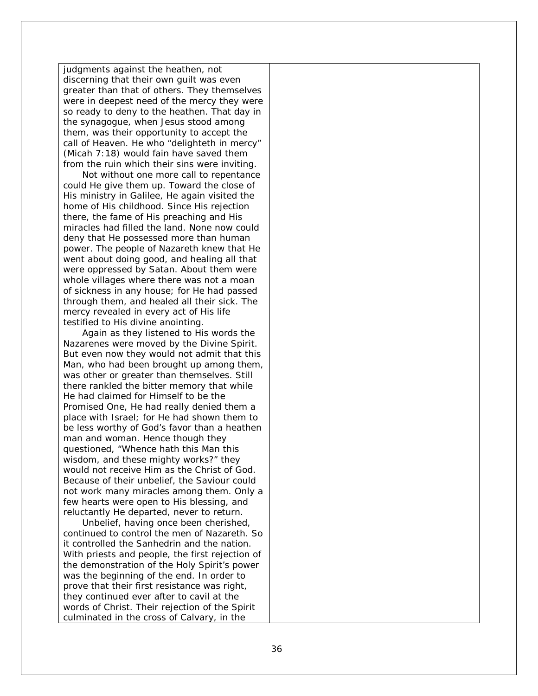judgments against the heathen, not discerning that their own guilt was even greater than that of others. They themselves were in deepest need of the mercy they were so ready to deny to the heathen. That day in the synagogue, when Jesus stood among them, was their opportunity to accept the call of Heaven. He who "delighteth in mercy" (Micah 7:18) would fain have saved them from the ruin which their sins were inviting.

Not without one more call to repentance could He give them up. Toward the close of His ministry in Galilee, He again visited the home of His childhood. Since His rejection there, the fame of His preaching and His miracles had filled the land. None now could deny that He possessed more than human power. The people of Nazareth knew that He went about doing good, and healing all that were oppressed by Satan. About them were whole villages where there was not a moan of sickness in any house; for He had passed through them, and healed all their sick. The mercy revealed in every act of His life testified to His divine anointing.

Again as they listened to His words the Nazarenes were moved by the Divine Spirit. But even now they would not admit that this Man, who had been brought up among them, was other or greater than themselves. Still there rankled the bitter memory that while He had claimed for Himself to be the Promised One, He had really denied them a place with Israel; for He had shown them to be less worthy of God's favor than a heathen man and woman. Hence though they questioned, "Whence hath this Man this wisdom, and these mighty works?" they would not receive Him as the Christ of God. Because of their unbelief, the Saviour could not work many miracles among them. Only a few hearts were open to His blessing, and reluctantly He departed, never to return.

Unbelief, having once been cherished, continued to control the men of Nazareth. So it controlled the Sanhedrin and the nation. With priests and people, the first rejection of the demonstration of the Holy Spirit's power was the beginning of the end. In order to prove that their first resistance was right, they continued ever after to cavil at the words of Christ. Their rejection of the Spirit culminated in the cross of Calvary, in the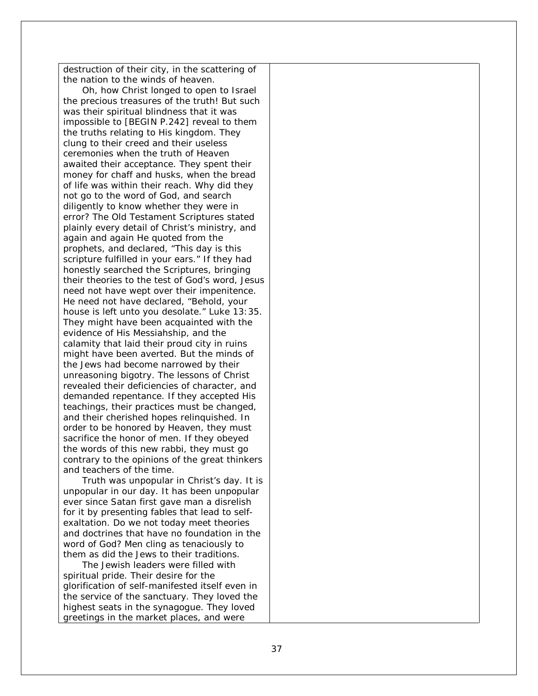destruction of their city, in the scattering of the nation to the winds of heaven.

Oh, how Christ longed to open to Israel the precious treasures of the truth! But such was their spiritual blindness that it was impossible to [BEGIN P.242] reveal to them the truths relating to His kingdom. They clung to their creed and their useless ceremonies when the truth of Heaven awaited their acceptance. They spent their money for chaff and husks, when the bread of life was within their reach. Why did they not go to the word of God, and search diligently to know whether they were in error? The Old Testament Scriptures stated plainly every detail of Christ's ministry, and again and again He quoted from the prophets, and declared, "This day is this scripture fulfilled in your ears." If they had honestly searched the Scriptures, bringing their theories to the test of God's word, Jesus need not have wept over their impenitence. He need not have declared, "Behold, your house is left unto you desolate." Luke 13:35. They might have been acquainted with the evidence of His Messiahship, and the calamity that laid their proud city in ruins might have been averted. But the minds of the Jews had become narrowed by their unreasoning bigotry. The lessons of Christ revealed their deficiencies of character, and demanded repentance. If they accepted His teachings, their practices must be changed, and their cherished hopes relinquished. In order to be honored by Heaven, they must sacrifice the honor of men. If they obeyed the words of this new rabbi, they must go contrary to the opinions of the great thinkers and teachers of the time.

Truth was unpopular in Christ's day. It is unpopular in our day. It has been unpopular ever since Satan first gave man a disrelish for it by presenting fables that lead to selfexaltation. Do we not today meet theories and doctrines that have no foundation in the word of God? Men cling as tenaciously to them as did the Jews to their traditions.

The Jewish leaders were filled with spiritual pride. Their desire for the glorification of self-manifested itself even in the service of the sanctuary. They loved the highest seats in the synagogue. They loved greetings in the market places, and were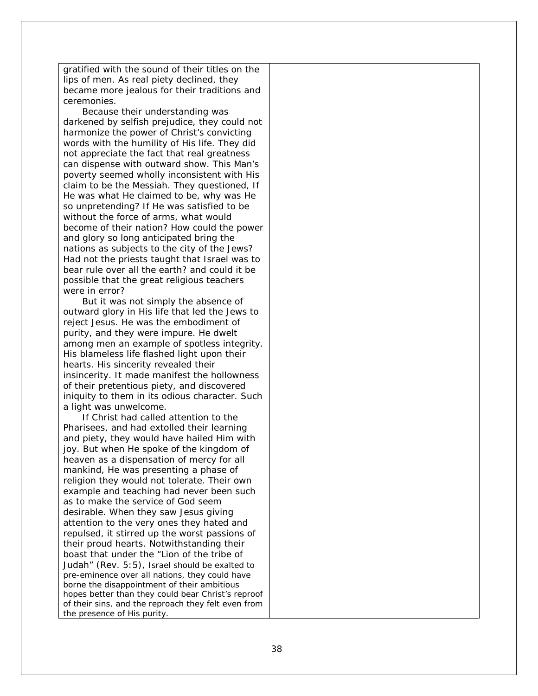gratified with the sound of their titles on the lips of men. As real piety declined, they became more jealous for their traditions and ceremonies.

Because their understanding was darkened by selfish prejudice, they could not harmonize the power of Christ's convicting words with the humility of His life. They did not appreciate the fact that real greatness can dispense with outward show. This Man's poverty seemed wholly inconsistent with His claim to be the Messiah. They questioned, If He was what He claimed to be, why was He so unpretending? If He was satisfied to be without the force of arms, what would become of their nation? How could the power and glory so long anticipated bring the nations as subjects to the city of the Jews? Had not the priests taught that Israel was to bear rule over all the earth? and could it be possible that the great religious teachers were in error?

But it was not simply the absence of outward glory in His life that led the Jews to reject Jesus. He was the embodiment of purity, and they were impure. He dwelt among men an example of spotless integrity. His blameless life flashed light upon their hearts. His sincerity revealed their insincerity. It made manifest the hollowness of their pretentious piety, and discovered iniquity to them in its odious character. Such a light was unwelcome.

If Christ had called attention to the Pharisees, and had extolled their learning and piety, they would have hailed Him with joy. But when He spoke of the kingdom of heaven as a dispensation of mercy for all mankind, He was presenting a phase of religion they would not tolerate. Their own example and teaching had never been such as to make the service of God seem desirable. When they saw Jesus giving attention to the very ones they hated and repulsed, it stirred up the worst passions of their proud hearts. Notwithstanding their boast that under the "Lion of the tribe of Judah" (Rev. 5:5), Israel should be exalted to pre-eminence over all nations, they could have borne the disappointment of their ambitious hopes better than they could bear Christ's reproof of their sins, and the reproach they felt even from the presence of His purity.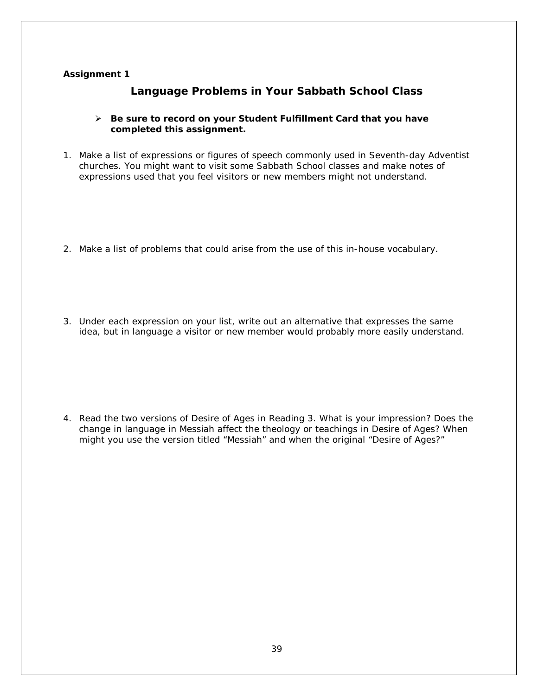## **Assignment 1**

## **Language Problems in Your Sabbath School Class**

## *Be sure to record on your* **Student Fulfillment Card** *that you have completed this assignment.*

- 1. Make a list of expressions or figures of speech commonly used in Seventh-day Adventist churches. You might want to visit some Sabbath School classes and make notes of expressions used that you feel visitors or new members might not understand.
- 2. Make a list of problems that could arise from the use of this in-house vocabulary.
- 3. Under each expression on your list, write out an alternative that expresses the same idea, but in language a visitor or new member would probably more easily understand.

4. Read the two versions of *Desire of Ages* in Reading 3. What is your impression? Does the change in language in *Messiah* affect the theology or teachings in *Desire of Ages*? When might you use the version titled "Messiah" and when the original "Desire of Ages?"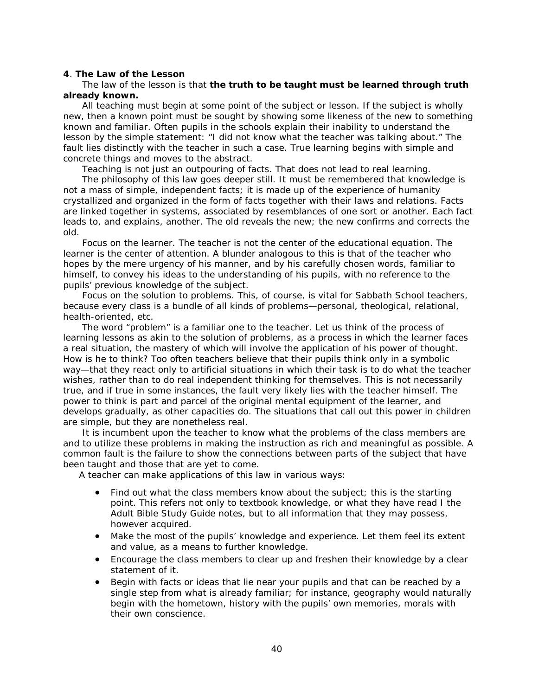#### **4**. **The Law of the Lesson**

#### The law of the lesson is that *the truth to be taught must be learned through truth already known.*

All teaching must begin at some point of the subject or lesson. If the subject is wholly new, then a known point must be sought by showing some likeness of the new to something known and familiar. Often pupils in the schools explain their inability to understand the lesson by the simple statement: "I did not know what the teacher was talking about." The fault lies distinctly with the teacher in such a case. *True learning begins with simple and concrete things and moves to the abstract.*

Teaching is not just an outpouring of facts. That does not lead to real learning.

The philosophy of this law goes deeper still. It must be remembered that knowledge is not a mass of simple, independent facts; it is made up of the experience of humanity crystallized and organized in the form of facts together with their laws and relations. Facts are linked together in systems, associated by resemblances of one sort or another. Each fact leads to, and explains, another. The old reveals the new; the new confirms and corrects the old.

*Focus on the learner.* The teacher is not the center of the educational equation. The learner is the center of attention. A blunder analogous to this is that of the teacher who hopes by the mere urgency of his manner, and by his carefully chosen words, familiar to himself, to convey his ideas to the understanding of his pupils, with no reference to the pupils' previous knowledge of the subject.

*Focus on the solution to problems.* This, of course, is vital for Sabbath School teachers, because every class is a bundle of all kinds of problems—personal, theological, relational, health-oriented, etc.

The word "problem" is a familiar one to the teacher. Let us think of the process of learning lessons as akin to the solution of problems, as a process in which the learner faces a real situation, the mastery of which will involve the application of his power of thought. How is he to think? Too often teachers believe that their pupils think only in a symbolic way—that they react only to artificial situations in which their task is to do what the teacher wishes, rather than to do real independent thinking for themselves. This is not necessarily true, and if true in some instances, the fault very likely lies with the teacher himself. The power to think is part and parcel of the original mental equipment of the learner, and develops gradually, as other capacities do. The situations that call out this power in children are simple, but they are nonetheless real.

It is incumbent upon the teacher to know what the problems of the class members are and to utilize these problems in making the instruction as rich and meaningful as possible. A common fault is the failure to show the connections between parts of the subject that have been taught and those that are yet to come.

A teacher can make applications of this law in various ways:

- Find out what the class members know about the subject; this is the starting point. This refers not only to textbook knowledge, or what they have read I the *Adult Bible Study Guide* notes, but to all information that they may possess, however acquired.
- Make the most of the pupils' knowledge and experience. Let them feel its extent and value, as a means to further knowledge.
- Encourage the class members to clear up and freshen their knowledge by a clear statement of it.
- Begin with facts or ideas that lie near your pupils and that can be reached by a single step from what is already familiar; for instance, geography would naturally begin with the hometown, history with the pupils' own memories, morals with their own conscience.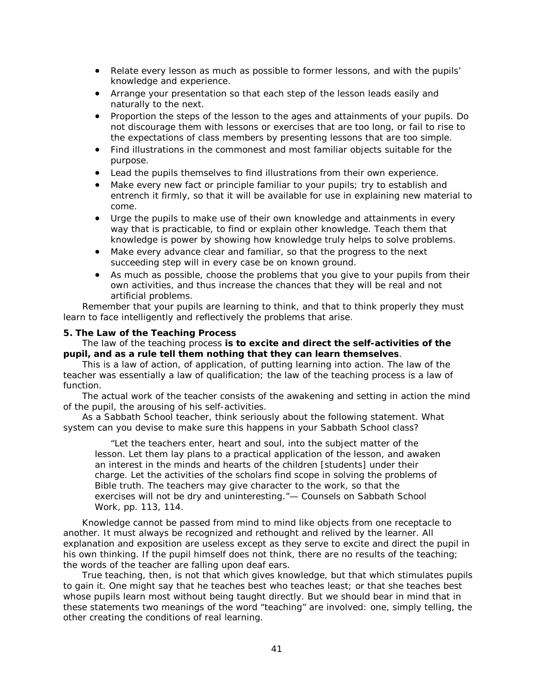- Relate every lesson as much as possible to former lessons, and with the pupils' knowledge and experience.
- Arrange your presentation so that each step of the lesson leads easily and naturally to the next.
- Proportion the steps of the lesson to the ages and attainments of your pupils. Do not discourage them with lessons or exercises that are too long, or fail to rise to the expectations of class members by presenting lessons that are too simple.
- Find illustrations in the commonest and most familiar objects suitable for the purpose.
- Lead the pupils themselves to find illustrations from their own experience.
- Make every new fact or principle familiar to your pupils; try to establish and entrench it firmly, so that it will be available for use in explaining new material to come.
- Urge the pupils to make use of their own knowledge and attainments in every way that is practicable, to find or explain other knowledge. Teach them that knowledge is power by showing how knowledge truly helps to solve problems.
- Make every advance clear and familiar, so that the progress to the next succeeding step will in every case be on known ground.
- As much as possible, choose the problems that you give to your pupils from their own activities, and thus increase the chances that they will be real and not artificial problems.

Remember that your pupils are learning to think, and that to think properly they must learn to face intelligently and reflectively the problems that arise.

### **5. The Law of the Teaching Process**

## The law of the teaching process *is to excite and direct the self-activities of the pupil, and as a rule tell them nothing that they can learn themselves.*

This is a law of action, of application, of putting learning into action. The law of the teacher was essentially a law of qualification; the law of the teaching process is a law of function.

The actual work of the teacher consists of the awakening and setting in action the mind of the pupil, the arousing of his self-activities.

As a Sabbath School teacher, think seriously about the following statement. What system can you devise to make sure this happens in your Sabbath School class?

"Let the teachers enter, heart and soul, into the subject matter of the lesson. Let them lay plans to a practical application of the lesson, and awaken an interest in the minds and hearts of the children [students] under their charge. Let the activities of the scholars find scope in solving the problems of Bible truth. The teachers may give character to the work, so that the exercises will not be dry and uninteresting."— *Counsels on Sabbath School Work*, pp. 113, 114.

Knowledge cannot be passed from mind to mind like objects from one receptacle to another. It must always be recognized and rethought and relived by the learner. All explanation and exposition are useless except as they serve to excite and direct the pupil in his own thinking. If the pupil himself does not think, there are no results of the teaching; the words of the teacher are falling upon deaf ears.

True teaching, then, is not that which *gives* knowledge, but that which stimulates pupils to *gain* it. One might say that he teaches *best* who teaches *least*; or that she teaches best whose pupils learn most without being taught directly. But we should bear in mind that in these statements two meanings of the word "teaching" are involved: one, simply telling, the other creating the conditions of real learning.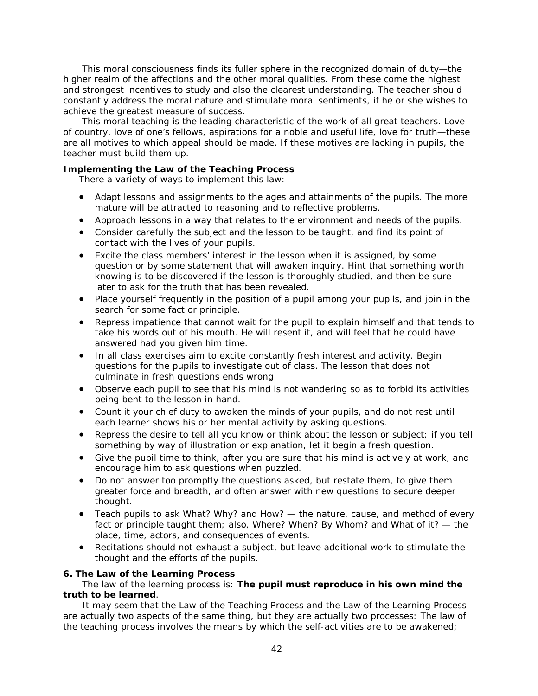This moral consciousness finds its fuller sphere in the recognized domain of duty—the higher realm of the affections and the other moral qualities. From these come the highest and strongest incentives to study and also the clearest understanding. The teacher should constantly address the moral nature and stimulate moral sentiments, if he or she wishes to achieve the greatest measure of success.

This moral teaching is the leading characteristic of the work of all great teachers. Love of country, love of one's fellows, aspirations for a noble and useful life, love for truth—these are all motives to which appeal should be made. If these motives are lacking in pupils, the teacher must build them up.

## **Implementing the Law of the Teaching Process**

There a variety of ways to implement this law:

- Adapt lessons and assignments to the ages and attainments of the pupils. The more mature will be attracted to reasoning and to reflective problems.
- Approach lessons in a way that relates to the environment and needs of the pupils.
- Consider carefully the subject and the lesson to be taught, and find its point of contact with the lives of your pupils.
- Excite the class members' interest in the lesson when it is assigned, by some question or by some statement that will awaken inquiry. Hint that something worth knowing is to be discovered if the lesson is thoroughly studied, and then be sure later to ask for the truth that has been revealed.
- Place yourself frequently in the position of a pupil among your pupils, and join in the search for some fact or principle.
- Repress impatience that cannot wait for the pupil to explain himself and that tends to take his words out of his mouth. He will resent it, and will feel that he could have answered had you given him time.
- In all class exercises aim to excite constantly fresh interest and activity. Begin questions for the pupils to investigate out of class. The lesson that does not culminate in fresh questions ends wrong.
- Observe each pupil to see that his mind is not wandering so as to forbid its activities being bent to the lesson in hand.
- Count it your chief duty to awaken the minds of your pupils, and do not rest until each learner shows his or her mental activity by asking questions.
- Repress the desire to tell all you know or think about the lesson or subject; if you tell something by way of illustration or explanation, let it begin a fresh question.
- Give the pupil time to think, after you are sure that his mind is actively at work, and encourage him to ask questions when puzzled.
- Do not answer too promptly the questions asked, but restate them, to give them greater force and breadth, and often answer with new questions to secure deeper thought.
- Teach pupils to ask What? Why? and How? the nature, cause, and method of every fact or principle taught them; also, Where? When? By Whom? and What of it? — the place, time, actors, and consequences of events.
- Recitations should not exhaust a subject, but leave additional work to stimulate the thought and the efforts of the pupils.

## **6. The Law of the Learning Process**

## The law of the learning process is: *The pupil must reproduce in his own mind the truth to be learned*.

It may seem that the Law of the Teaching Process and the Law of the Learning Process are actually two aspects of the same thing, but they are actually two processes: The *law of the teaching process* involves the means by which the self-activities are to be awakened;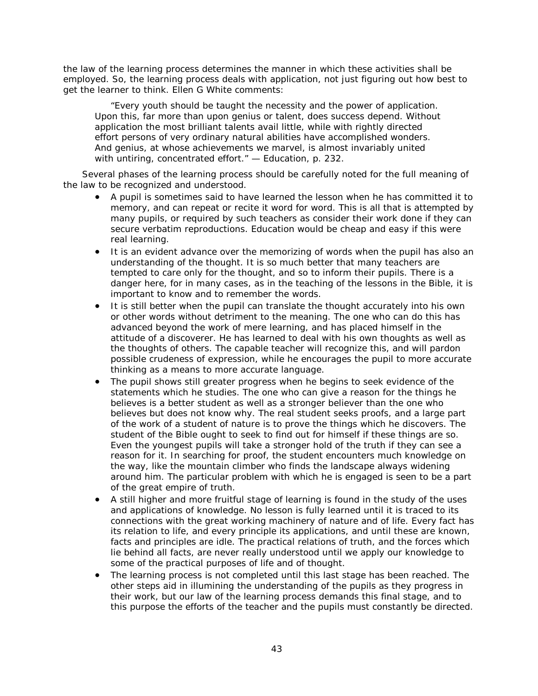the *law of the learning process* determines the manner in which these activities shall be employed. So, the learning process deals with application, not just figuring out how best to get the learner to think. Ellen G White comments:

"Every youth should be taught the necessity and the power of application. Upon this, far more than upon genius or talent, does success depend. Without application the most brilliant talents avail little, while with rightly directed effort persons of very ordinary natural abilities have accomplished wonders. And genius, at whose achievements we marvel, is almost invariably united with untiring, concentrated effort." — *Education*, p. 232.

Several phases of the learning process should be carefully noted for the full meaning of the law to be recognized and understood.

- A pupil is sometimes said to have learned the lesson when he has committed it to memory, and can repeat or recite it word for word. This is all that is attempted by many pupils, or required by such teachers as consider their work done if they can secure *verbatim* reproductions. Education would be cheap and easy if this were real learning.
- It is an evident advance over the memorizing of words when the pupil has also an understanding of the thought. It is so much better that many teachers are tempted to care only for the thought, and so to inform their pupils. There is a danger here, for in many cases, as in the teaching of the lessons in the Bible, it is important to know and to remember the words.
- It is still better when the pupil can translate the thought accurately into his own or other words without detriment to the meaning. The one who can do this has advanced beyond the work of mere learning, and has placed himself in the attitude of a discoverer. He has learned to deal with his own thoughts as well as the thoughts of others. The capable teacher will recognize this, and will pardon possible crudeness of expression, while he encourages the pupil to more accurate thinking as a means to more accurate language.
- The pupil shows still greater progress when he begins to seek evidence of the statements which he studies. The one who can give a reason for the things he believes is a better student as well as a stronger believer than the one who believes but does not know why. The real student seeks proofs, and a large part of the work of a student of nature is to prove the things which he discovers. The student of the Bible ought to seek to find out for himself if these things are so. Even the youngest pupils will take a stronger hold of the truth if they can see a reason for it. In searching for proof, the student encounters much knowledge on the way, like the mountain climber who finds the landscape always widening around him. The particular problem with which he is engaged is seen to be a part of the great empire of truth.
- A still higher and more fruitful stage of learning is found in the study of the uses and applications of knowledge. No lesson is fully learned until it is traced to its connections with the great working machinery of nature and of life. Every fact has its relation to life, and every principle its applications, and until these are known, facts and principles are idle. The practical relations of truth, and the forces which lie behind all facts, are never really understood until we apply our knowledge to some of the practical purposes of life and of thought.
- The learning process is not completed until this last stage has been reached. The other steps aid in illumining the understanding of the pupils as they progress in their work, but our law of the learning process demands this final stage, and to this purpose the efforts of the teacher and the pupils must constantly be directed.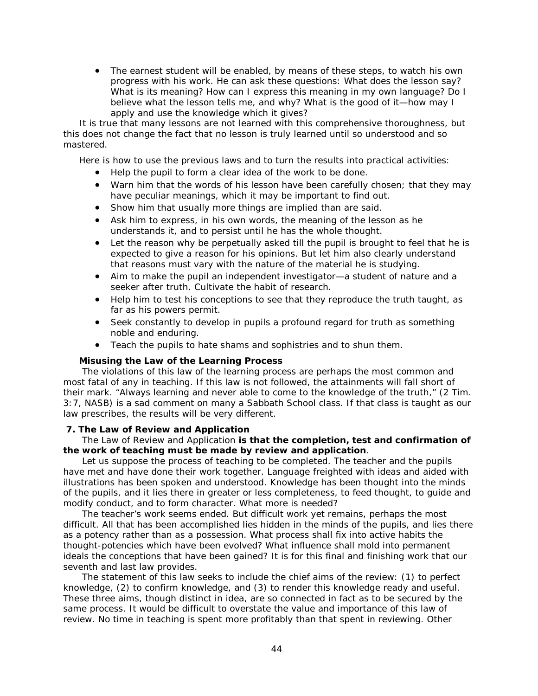• The earnest student will be enabled, by means of these steps, to watch his own progress with his work. He can ask these questions: What does the lesson say? What is its meaning? How can I express this meaning in my own language? Do I believe what the lesson tells me, and why? What is the good of it—how may I apply and use the knowledge which it gives?

It is true that many lessons are not learned with this comprehensive thoroughness, but this does not change the fact that no lesson is truly learned until so understood and so mastered.

Here is how to use the previous laws and to turn the results into practical activities:

- Help the pupil to form a clear idea of the work to be done.
- Warn him that the words of his lesson have been carefully chosen; that they may have peculiar meanings, which it may be important to find out.
- Show him that usually more things are implied than are said.
- Ask him to express, in his own words, the meaning of the lesson as he understands it, and to persist until he has the whole thought.
- Let the reason *why* be perpetually *asked* till the pupil is brought to feel that he is expected to give a reason for his opinions. But let him also clearly understand that reasons must vary with the nature of the material he is studying.
- Aim to make the pupil an independent investigator—a student of nature and a seeker after truth. Cultivate the habit of research.
- Help him to test his conceptions to see that they reproduce the truth taught, as far as his powers permit.
- Seek constantly to develop in pupils a profound regard for truth as something noble and enduring.
- Teach the pupils to hate shams and sophistries and to shun them.

#### **Misusing the Law of the Learning Process**

The violations of this law of the learning process are perhaps the most common and most fatal of any in teaching. If this law is not followed, the attainments will fall short of their mark. "Always learning and never able to come to the knowledge of the truth," (2 Tim. 3:7, NASB) is a sad comment on many a Sabbath School class. If that class is taught as our law prescribes, the results will be very different.

#### **7. The Law of Review and Application**

### The Law of Review and Application *is that the completion, test and confirmation of the work of teaching must be made by review and application*.

Let us suppose the process of teaching to be completed. The teacher and the pupils have met and have done their work together. Language freighted with ideas and aided with illustrations has been spoken and understood. Knowledge has been thought into the minds of the pupils, and it lies there in greater or less completeness, to feed thought, to guide and modify conduct, and to form character. What more is needed?

The teacher's work seems ended. But difficult work yet remains, perhaps the most difficult. All that has been accomplished lies hidden in the minds of the pupils, and lies there as a potency rather than as a possession. What process shall fix into active habits the thought-potencies which have been evolved? What influence shall mold into permanent ideals the conceptions that have been gained? It is for this final and finishing work that our seventh and last law provides.

The statement of this law seeks to include the chief aims of the review: (1) to perfect knowledge, (2) to confirm knowledge, and (3) to render this knowledge ready and useful. These three aims, though distinct in idea, are so connected in fact as to be secured by the same process. It would be difficult to overstate the value and importance of this law of review. No time in teaching is spent more profitably than that spent in reviewing. Other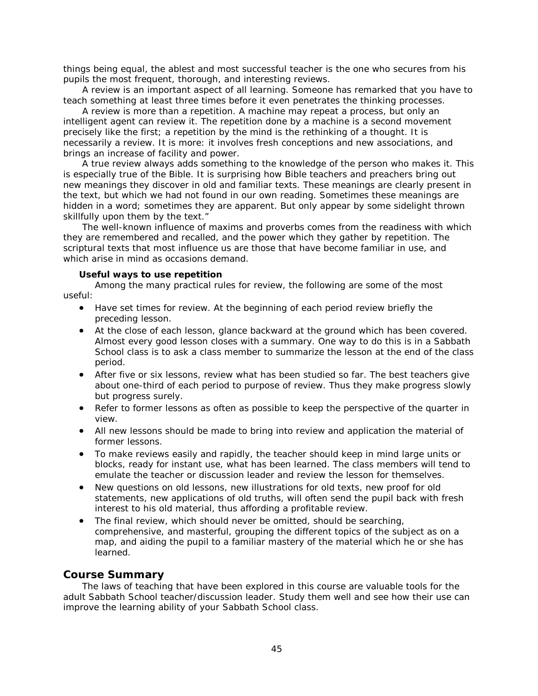things being equal, the ablest and most successful teacher is the one who secures from his pupils the most frequent, thorough, and interesting reviews.

A review is an important aspect of all learning. Someone has remarked that you have to teach something at least three times before it even penetrates the thinking processes.

A review is more than a repetition. A machine may repeat a process, but only an intelligent agent can review it. The repetition done by a machine is a second movement precisely like the first; a repetition by the mind is the rethinking of a thought. It is necessarily a review. It is more: it involves fresh conceptions and new associations, and brings an increase of facility and power.

A true review always adds something to the knowledge of the person who makes it. This is especially true of the Bible. It is surprising how Bible teachers and preachers bring out new meanings they discover in old and familiar texts. These meanings are clearly present in the text, but which we had not found in our own reading. Sometimes these meanings are hidden in a word; sometimes they are apparent. But only appear by some sidelight thrown skillfully upon them by the text."

The well-known influence of maxims and proverbs comes from the readiness with which they are remembered and recalled, and the power which they gather by repetition. The scriptural texts that most influence us are those that have become familiar in use, and which arise in mind as occasions demand.

### **Useful ways to use repetition**

Among the many practical rules for review, the following are some of the most useful:

- Have set times for review. At the beginning of each period review briefly the preceding lesson.
- At the close of each lesson, glance backward at the ground which has been covered. Almost every good lesson closes with a summary. One way to do this is in a Sabbath School class is to ask a class member to summarize the lesson at the end of the class period.
- After five or six lessons, review what has been studied so far. The best teachers give about one-third of each period to purpose of review. Thus they make progress slowly but progress surely.
- Refer to former lessons as often as possible to keep the perspective of the quarter in view.
- All new lessons should be made to bring into review and application the material of former lessons.
- To make reviews easily and rapidly, the teacher should keep in mind large units or blocks, ready for instant use, what has been learned. The class members will tend to emulate the teacher or discussion leader and review the lesson for themselves.
- New questions on old lessons, new illustrations for old texts, new proof for old statements, new applications of old truths, will often send the pupil back with fresh interest to his old material, thus affording a profitable review.
- The final review, which should never be omitted, should be searching, comprehensive, and masterful, grouping the different topics of the subject as on a map, and aiding the pupil to a familiar mastery of the material which he or she has learned.

## **Course Summary**

The laws of teaching that have been explored in this course are valuable tools for the adult Sabbath School teacher/discussion leader. Study them well and see how their use can improve the learning ability of your Sabbath School class.